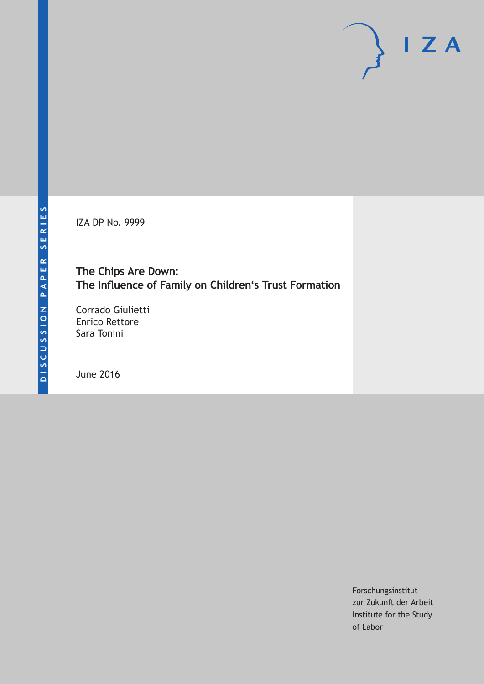IZA DP No. 9999

# **The Chips Are Down: The Influence of Family on Children's Trust Formation**

Corrado Giulietti Enrico Rettore Sara Tonini

June 2016

Forschungsinstitut zur Zukunft der Arbeit Institute for the Study of Labor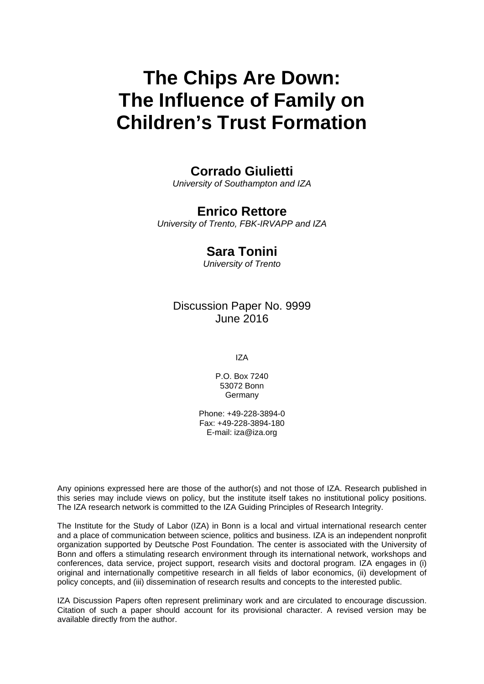# **The Chips Are Down: The Influence of Family on Children's Trust Formation**

# **Corrado Giulietti**

*University of Southampton and IZA* 

# **Enrico Rettore**

*University of Trento, FBK-IRVAPP and IZA* 

# **Sara Tonini**

*University of Trento*

# Discussion Paper No. 9999 June 2016

IZA

P.O. Box 7240 53072 Bonn **Germany** 

Phone: +49-228-3894-0 Fax: +49-228-3894-180 E-mail: iza@iza.org

Any opinions expressed here are those of the author(s) and not those of IZA. Research published in this series may include views on policy, but the institute itself takes no institutional policy positions. The IZA research network is committed to the IZA Guiding Principles of Research Integrity.

The Institute for the Study of Labor (IZA) in Bonn is a local and virtual international research center and a place of communication between science, politics and business. IZA is an independent nonprofit organization supported by Deutsche Post Foundation. The center is associated with the University of Bonn and offers a stimulating research environment through its international network, workshops and conferences, data service, project support, research visits and doctoral program. IZA engages in (i) original and internationally competitive research in all fields of labor economics, (ii) development of policy concepts, and (iii) dissemination of research results and concepts to the interested public.

IZA Discussion Papers often represent preliminary work and are circulated to encourage discussion. Citation of such a paper should account for its provisional character. A revised version may be available directly from the author.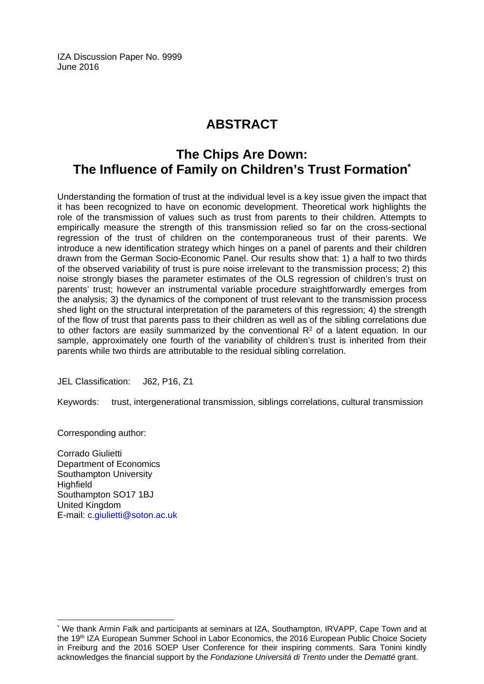IZA Discussion Paper No. 9999 June 2016

# **ABSTRACT**

# **The Chips Are Down: The Influence of Family on Children's Trust Formation\***

Understanding the formation of trust at the individual level is a key issue given the impact that it has been recognized to have on economic development. Theoretical work highlights the role of the transmission of values such as trust from parents to their children. Attempts to empirically measure the strength of this transmission relied so far on the cross-sectional regression of the trust of children on the contemporaneous trust of their parents. We introduce a new identification strategy which hinges on a panel of parents and their children drawn from the German Socio-Economic Panel. Our results show that: 1) a half to two thirds of the observed variability of trust is pure noise irrelevant to the transmission process; 2) this noise strongly biases the parameter estimates of the OLS regression of children's trust on parents' trust; however an instrumental variable procedure straightforwardly emerges from the analysis; 3) the dynamics of the component of trust relevant to the transmission process shed light on the structural interpretation of the parameters of this regression; 4) the strength of the flow of trust that parents pass to their children as well as of the sibling correlations due to other factors are easily summarized by the conventional  $R<sup>2</sup>$  of a latent equation. In our sample, approximately one fourth of the variability of children's trust is inherited from their parents while two thirds are attributable to the residual sibling correlation.

JEL Classification: J62, P16, Z1

Keywords: trust, intergenerational transmission, siblings correlations, cultural transmission

Corresponding author:

 $\overline{\phantom{a}}$ 

Corrado Giulietti Department of Economics Southampton University **Highfield** Southampton SO17 1BJ United Kingdom E-mail: c.giulietti@soton.ac.uk

<sup>\*</sup> We thank Armin Falk and participants at seminars at IZA, Southampton, IRVAPP, Cape Town and at the 19<sup>th</sup> IZA European Summer School in Labor Economics, the 2016 European Public Choice Society in Freiburg and the 2016 SOEP User Conference for their inspiring comments. Sara Tonini kindly acknowledges the financial support by the *Fondazione Universitá di Trento* under the *Dematté* grant.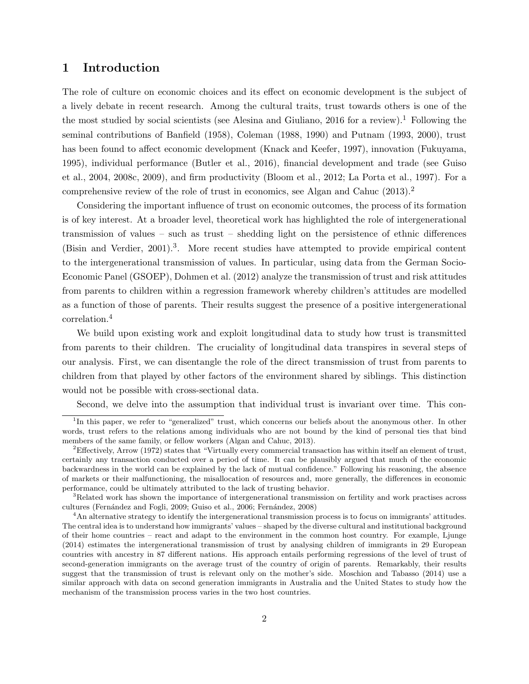### 1 Introduction

The role of culture on economic choices and its effect on economic development is the subject of a lively debate in recent research. Among the cultural traits, trust towards others is one of the the most studied by social scientists (see [Alesina and Giuliano,](#page-25-0) 20[1](#page-3-0)6 for a review).<sup>1</sup> Following the seminal contributions of [Banfield](#page-25-1) [\(1958\)](#page-25-1), [Coleman](#page-26-0) [\(1988,](#page-26-0) [1990\)](#page-26-1) and [Putnam](#page-27-0) [\(1993,](#page-27-0) [2000\)](#page-27-1), trust has been found to affect economic development [\(Knack and Keefer,](#page-27-2) [1997\)](#page-27-2), innovation [\(Fukuyama,](#page-26-2) [1995\)](#page-26-2), individual performance [\(Butler et al.,](#page-25-2) 2016), financial development and trade (see [Guiso](#page-26-3) [et al.,](#page-26-3) [2004,](#page-26-3) [2008c,](#page-26-4) [2009\)](#page-26-5), and firm productivity [\(Bloom et al.,](#page-25-3) [2012;](#page-25-3) [La Porta et al.,](#page-27-3) [1997\)](#page-27-3). For a comprehensive review of the role of trust in economics, see [Algan and Cahuc](#page-25-4) [\(2013\)](#page-25-4).<sup>[2](#page-3-1)</sup>

Considering the important influence of trust on economic outcomes, the process of its formation is of key interest. At a broader level, theoretical work has highlighted the role of intergenerational transmission of values – such as trust – shedding light on the persistence of ethnic differences [\(Bisin and Verdier,](#page-25-5) [2001\)](#page-25-5).<sup>[3](#page-3-2)</sup>. More recent studies have attempted to provide empirical content to the intergenerational transmission of values. In particular, using data from the German Socio-Economic Panel (GSOEP), [Dohmen et al.](#page-26-6) [\(2012\)](#page-26-6) analyze the transmission of trust and risk attitudes from parents to children within a regression framework whereby children's attitudes are modelled as a function of those of parents. Their results suggest the presence of a positive intergenerational correlation.[4](#page-3-3)

We build upon existing work and exploit longitudinal data to study how trust is transmitted from parents to their children. The cruciality of longitudinal data transpires in several steps of our analysis. First, we can disentangle the role of the direct transmission of trust from parents to children from that played by other factors of the environment shared by siblings. This distinction would not be possible with cross-sectional data.

<span id="page-3-0"></span>Second, we delve into the assumption that individual trust is invariant over time. This con-

<sup>&</sup>lt;sup>1</sup>In this paper, we refer to "generalized" trust, which concerns our beliefs about the anonymous other. In other words, trust refers to the relations among individuals who are not bound by the kind of personal ties that bind members of the same family, or fellow workers [\(Algan and Cahuc,](#page-25-4) [2013\)](#page-25-4).

<span id="page-3-1"></span><sup>2</sup>Effectively, [Arrow](#page-25-6) [\(1972\)](#page-25-6) states that "Virtually every commercial transaction has within itself an element of trust, certainly any transaction conducted over a period of time. It can be plausibly argued that much of the economic backwardness in the world can be explained by the lack of mutual confidence." Following his reasoning, the absence of markets or their malfunctioning, the misallocation of resources and, more generally, the differences in economic performance, could be ultimately attributed to the lack of trusting behavior.

<span id="page-3-2"></span><sup>&</sup>lt;sup>3</sup>Related work has shown the importance of intergenerational transmission on fertility and work practises across cultures (Fernández and Fogli, [2009;](#page-26-7) [Guiso et al.,](#page-26-8) [2006;](#page-26-8) Fernández, [2008\)](#page-26-9)

<span id="page-3-3"></span><sup>4</sup>An alternative strategy to identify the intergenerational transmission process is to focus on immigrants' attitudes. The central idea is to understand how immigrants' values – shaped by the diverse cultural and institutional background of their home countries – react and adapt to the environment in the common host country. For example, [Ljunge](#page-27-4) [\(2014\)](#page-27-4) estimates the intergenerational transmission of trust by analysing children of immigrants in 29 European countries with ancestry in 87 different nations. His approach entails performing regressions of the level of trust of second-generation immigrants on the average trust of the country of origin of parents. Remarkably, their results suggest that the transmission of trust is relevant only on the mother's side. [Moschion and Tabasso](#page-27-5) [\(2014\)](#page-27-5) use a similar approach with data on second generation immigrants in Australia and the United States to study how the mechanism of the transmission process varies in the two host countries.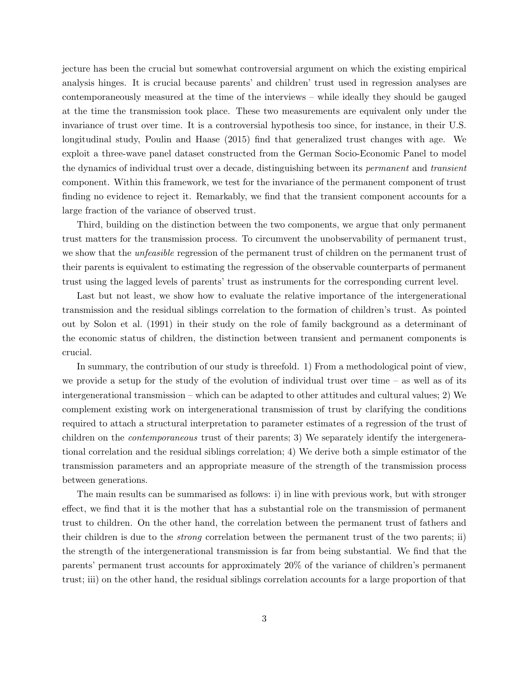jecture has been the crucial but somewhat controversial argument on which the existing empirical analysis hinges. It is crucial because parents' and children' trust used in regression analyses are contemporaneously measured at the time of the interviews – while ideally they should be gauged at the time the transmission took place. These two measurements are equivalent only under the invariance of trust over time. It is a controversial hypothesis too since, for instance, in their U.S. longitudinal study, [Poulin and Haase](#page-27-6) [\(2015\)](#page-27-6) find that generalized trust changes with age. We exploit a three-wave panel dataset constructed from the German Socio-Economic Panel to model the dynamics of individual trust over a decade, distinguishing between its permanent and transient component. Within this framework, we test for the invariance of the permanent component of trust finding no evidence to reject it. Remarkably, we find that the transient component accounts for a large fraction of the variance of observed trust.

Third, building on the distinction between the two components, we argue that only permanent trust matters for the transmission process. To circumvent the unobservability of permanent trust, we show that the *unfeasible* regression of the permanent trust of children on the permanent trust of their parents is equivalent to estimating the regression of the observable counterparts of permanent trust using the lagged levels of parents' trust as instruments for the corresponding current level.

Last but not least, we show how to evaluate the relative importance of the intergenerational transmission and the residual siblings correlation to the formation of children's trust. As pointed out by [Solon et al.](#page-27-7) [\(1991\)](#page-27-7) in their study on the role of family background as a determinant of the economic status of children, the distinction between transient and permanent components is crucial.

In summary, the contribution of our study is threefold. 1) From a methodological point of view, we provide a setup for the study of the evolution of individual trust over time – as well as of its intergenerational transmission – which can be adapted to other attitudes and cultural values; 2) We complement existing work on intergenerational transmission of trust by clarifying the conditions required to attach a structural interpretation to parameter estimates of a regression of the trust of children on the contemporaneous trust of their parents; 3) We separately identify the intergenerational correlation and the residual siblings correlation; 4) We derive both a simple estimator of the transmission parameters and an appropriate measure of the strength of the transmission process between generations.

The main results can be summarised as follows: i) in line with previous work, but with stronger effect, we find that it is the mother that has a substantial role on the transmission of permanent trust to children. On the other hand, the correlation between the permanent trust of fathers and their children is due to the strong correlation between the permanent trust of the two parents; ii) the strength of the intergenerational transmission is far from being substantial. We find that the parents' permanent trust accounts for approximately 20% of the variance of children's permanent trust; iii) on the other hand, the residual siblings correlation accounts for a large proportion of that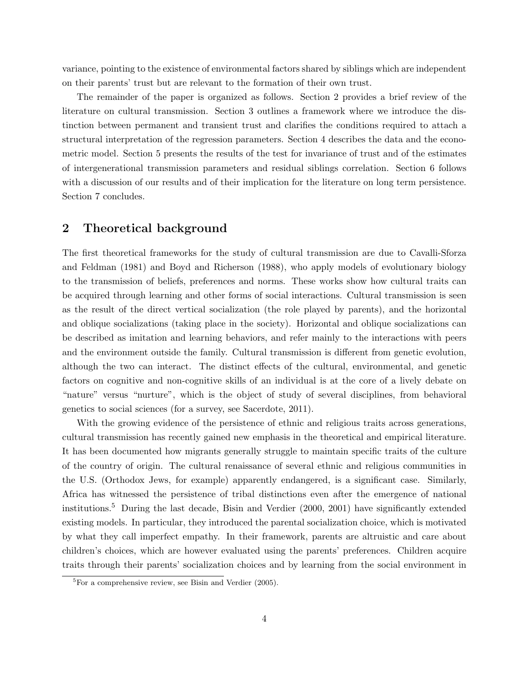variance, pointing to the existence of environmental factors shared by siblings which are independent on their parents' trust but are relevant to the formation of their own trust.

The remainder of the paper is organized as follows. Section 2 provides a brief review of the literature on cultural transmission. Section 3 outlines a framework where we introduce the distinction between permanent and transient trust and clarifies the conditions required to attach a structural interpretation of the regression parameters. Section 4 describes the data and the econometric model. Section 5 presents the results of the test for invariance of trust and of the estimates of intergenerational transmission parameters and residual siblings correlation. Section 6 follows with a discussion of our results and of their implication for the literature on long term persistence. Section 7 concludes.

### 2 Theoretical background

The first theoretical frameworks for the study of cultural transmission are due to [Cavalli-Sforza](#page-26-10) [and Feldman](#page-26-10) [\(1981\)](#page-26-10) and [Boyd and Richerson](#page-25-7) [\(1988\)](#page-25-7), who apply models of evolutionary biology to the transmission of beliefs, preferences and norms. These works show how cultural traits can be acquired through learning and other forms of social interactions. Cultural transmission is seen as the result of the direct vertical socialization (the role played by parents), and the horizontal and oblique socializations (taking place in the society). Horizontal and oblique socializations can be described as imitation and learning behaviors, and refer mainly to the interactions with peers and the environment outside the family. Cultural transmission is different from genetic evolution, although the two can interact. The distinct effects of the cultural, environmental, and genetic factors on cognitive and non-cognitive skills of an individual is at the core of a lively debate on "nature" versus "nurture", which is the object of study of several disciplines, from behavioral genetics to social sciences (for a survey, see [Sacerdote,](#page-27-8) [2011\)](#page-27-8).

With the growing evidence of the persistence of ethnic and religious traits across generations, cultural transmission has recently gained new emphasis in the theoretical and empirical literature. It has been documented how migrants generally struggle to maintain specific traits of the culture of the country of origin. The cultural renaissance of several ethnic and religious communities in the U.S. (Orthodox Jews, for example) apparently endangered, is a significant case. Similarly, Africa has witnessed the persistence of tribal distinctions even after the emergence of national institutions.[5](#page-5-0) During the last decade, [Bisin and Verdier](#page-25-8) [\(2000,](#page-25-8) [2001\)](#page-25-5) have significantly extended existing models. In particular, they introduced the parental socialization choice, which is motivated by what they call imperfect empathy. In their framework, parents are altruistic and care about children's choices, which are however evaluated using the parents' preferences. Children acquire traits through their parents' socialization choices and by learning from the social environment in

<span id="page-5-0"></span> ${}^{5}$ For a comprehensive review, see [Bisin and Verdier](#page-25-9) [\(2005\)](#page-25-9).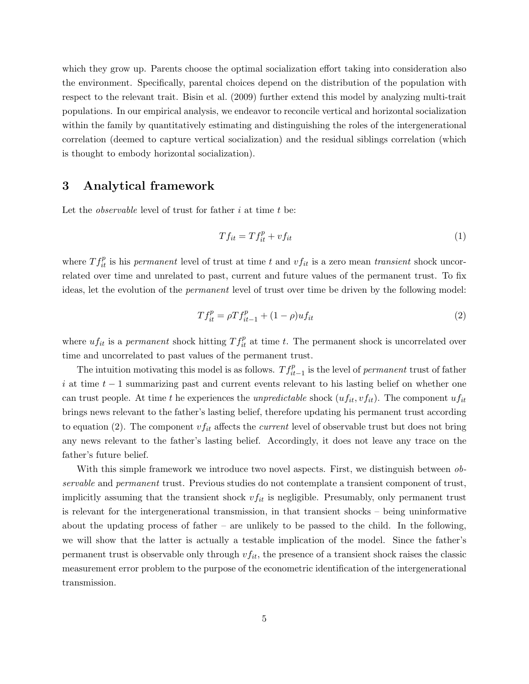which they grow up. Parents choose the optimal socialization effort taking into consideration also the environment. Specifically, parental choices depend on the distribution of the population with respect to the relevant trait. [Bisin et al.](#page-25-10) [\(2009\)](#page-25-10) further extend this model by analyzing multi-trait populations. In our empirical analysis, we endeavor to reconcile vertical and horizontal socialization within the family by quantitatively estimating and distinguishing the roles of the intergenerational correlation (deemed to capture vertical socialization) and the residual siblings correlation (which is thought to embody horizontal socialization).

### 3 Analytical framework

Let the *observable* level of trust for father  $i$  at time  $t$  be:

<span id="page-6-1"></span>
$$
Tf_{it} = Tf_{it}^p + vf_{it} \tag{1}
$$

where  $T f_{it}^p$  is his permanent level of trust at time t and  $v f_{it}$  is a zero mean transient shock uncorrelated over time and unrelated to past, current and future values of the permanent trust. To fix ideas, let the evolution of the permanent level of trust over time be driven by the following model:

<span id="page-6-0"></span>
$$
Tf_{it}^p = \rho T f_{it-1}^p + (1 - \rho) u f_{it}
$$
\n(2)

where  $uf_{it}$  is a permanent shock hitting  $Tf_{it}^p$  at time t. The permanent shock is uncorrelated over time and uncorrelated to past values of the permanent trust.

The intuition motivating this model is as follows.  $Tf_{it-1}^p$  is the level of *permanent* trust of father i at time  $t - 1$  summarizing past and current events relevant to his lasting belief on whether one can trust people. At time t he experiences the unpredictable shock  $(uf_{it}, v f_{it})$ . The component  $uf_{it}$ brings news relevant to the father's lasting belief, therefore updating his permanent trust according to equation [\(2\)](#page-6-0). The component  $v f_{it}$  affects the *current* level of observable trust but does not bring any news relevant to the father's lasting belief. Accordingly, it does not leave any trace on the father's future belief.

With this simple framework we introduce two novel aspects. First, we distinguish between *ob*servable and permanent trust. Previous studies do not contemplate a transient component of trust, implicitly assuming that the transient shock  $v f_{it}$  is negligible. Presumably, only permanent trust is relevant for the intergenerational transmission, in that transient shocks – being uninformative about the updating process of father – are unlikely to be passed to the child. In the following, we will show that the latter is actually a testable implication of the model. Since the father's permanent trust is observable only through  $v f_{it}$ , the presence of a transient shock raises the classic measurement error problem to the purpose of the econometric identification of the intergenerational transmission.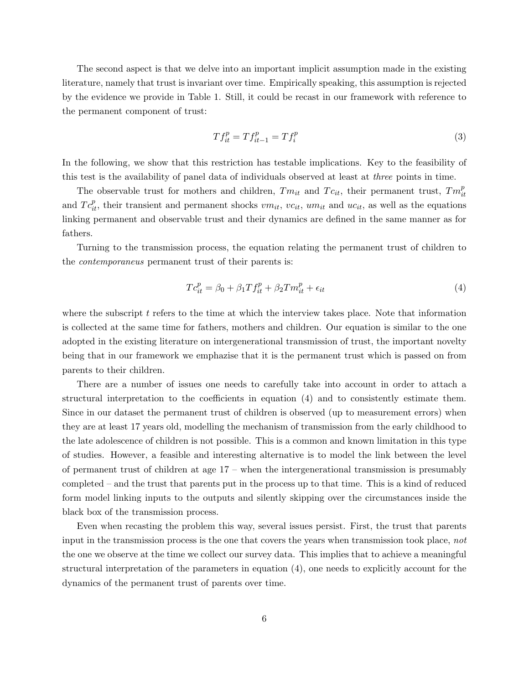The second aspect is that we delve into an important implicit assumption made in the existing literature, namely that trust is invariant over time. Empirically speaking, this assumption is rejected by the evidence we provide in Table [1.](#page-19-0) Still, it could be recast in our framework with reference to the permanent component of trust:

<span id="page-7-1"></span>
$$
Tf_{it}^p = Tf_{it-1}^p = Tf_i^p \tag{3}
$$

In the following, we show that this restriction has testable implications. Key to the feasibility of this test is the availability of panel data of individuals observed at least at three points in time.

The observable trust for mothers and children,  $T m_{it}$  and  $T c_{it}$ , their permanent trust,  $T m_{it}^p$ and  $T c_{it}^p$ , their transient and permanent shocks  $vm_{it}$ ,  $vc_{it}$ ,  $um_{it}$  and  $uc_{it}$ , as well as the equations linking permanent and observable trust and their dynamics are defined in the same manner as for fathers.

Turning to the transmission process, the equation relating the permanent trust of children to the contemporaneus permanent trust of their parents is:

<span id="page-7-0"></span>
$$
T c_{it}^p = \beta_0 + \beta_1 T f_{it}^p + \beta_2 T m_{it}^p + \epsilon_{it}
$$
\n
$$
\tag{4}
$$

where the subscript  $t$  refers to the time at which the interview takes place. Note that information is collected at the same time for fathers, mothers and children. Our equation is similar to the one adopted in the existing literature on intergenerational transmission of trust, the important novelty being that in our framework we emphazise that it is the permanent trust which is passed on from parents to their children.

There are a number of issues one needs to carefully take into account in order to attach a structural interpretation to the coefficients in equation [\(4\)](#page-7-0) and to consistently estimate them. Since in our dataset the permanent trust of children is observed (up to measurement errors) when they are at least 17 years old, modelling the mechanism of transmission from the early childhood to the late adolescence of children is not possible. This is a common and known limitation in this type of studies. However, a feasible and interesting alternative is to model the link between the level of permanent trust of children at age 17 – when the intergenerational transmission is presumably completed – and the trust that parents put in the process up to that time. This is a kind of reduced form model linking inputs to the outputs and silently skipping over the circumstances inside the black box of the transmission process.

Even when recasting the problem this way, several issues persist. First, the trust that parents input in the transmission process is the one that covers the years when transmission took place, not the one we observe at the time we collect our survey data. This implies that to achieve a meaningful structural interpretation of the parameters in equation [\(4\)](#page-7-0), one needs to explicitly account for the dynamics of the permanent trust of parents over time.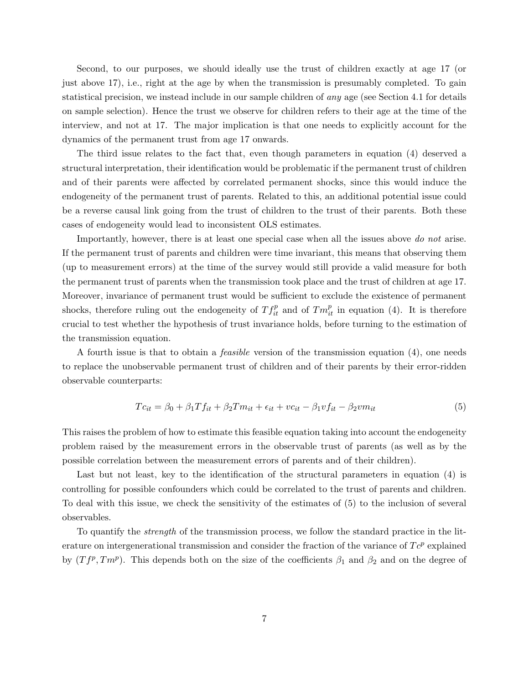Second, to our purposes, we should ideally use the trust of children exactly at age 17 (or just above 17), i.e., right at the age by when the transmission is presumably completed. To gain statistical precision, we instead include in our sample children of any age (see Section [4.1](#page-9-0) for details on sample selection). Hence the trust we observe for children refers to their age at the time of the interview, and not at 17. The major implication is that one needs to explicitly account for the dynamics of the permanent trust from age 17 onwards.

The third issue relates to the fact that, even though parameters in equation [\(4\)](#page-7-0) deserved a structural interpretation, their identification would be problematic if the permanent trust of children and of their parents were affected by correlated permanent shocks, since this would induce the endogeneity of the permanent trust of parents. Related to this, an additional potential issue could be a reverse causal link going from the trust of children to the trust of their parents. Both these cases of endogeneity would lead to inconsistent OLS estimates.

Importantly, however, there is at least one special case when all the issues above do not arise. If the permanent trust of parents and children were time invariant, this means that observing them (up to measurement errors) at the time of the survey would still provide a valid measure for both the permanent trust of parents when the transmission took place and the trust of children at age 17. Moreover, invariance of permanent trust would be sufficient to exclude the existence of permanent shocks, therefore ruling out the endogeneity of  $Tf_{it}^p$  and of  $Tm_{it}^p$  in equation [\(4\)](#page-7-0). It is therefore crucial to test whether the hypothesis of trust invariance holds, before turning to the estimation of the transmission equation.

A fourth issue is that to obtain a feasible version of the transmission equation [\(4\)](#page-7-0), one needs to replace the unobservable permanent trust of children and of their parents by their error-ridden observable counterparts:

<span id="page-8-0"></span>
$$
Tc_{it} = \beta_0 + \beta_1 Tf_{it} + \beta_2 Tm_{it} + \epsilon_{it} + vc_{it} - \beta_1 vf_{it} - \beta_2 vn_{it}
$$
\n
$$
\tag{5}
$$

This raises the problem of how to estimate this feasible equation taking into account the endogeneity problem raised by the measurement errors in the observable trust of parents (as well as by the possible correlation between the measurement errors of parents and of their children).

Last but not least, key to the identification of the structural parameters in equation [\(4\)](#page-7-0) is controlling for possible confounders which could be correlated to the trust of parents and children. To deal with this issue, we check the sensitivity of the estimates of [\(5\)](#page-8-0) to the inclusion of several observables.

To quantify the strength of the transmission process, we follow the standard practice in the literature on intergenerational transmission and consider the fraction of the variance of  $T c^p$  explained by  $(Tf^p, Tm^p)$ . This depends both on the size of the coefficients  $\beta_1$  and  $\beta_2$  and on the degree of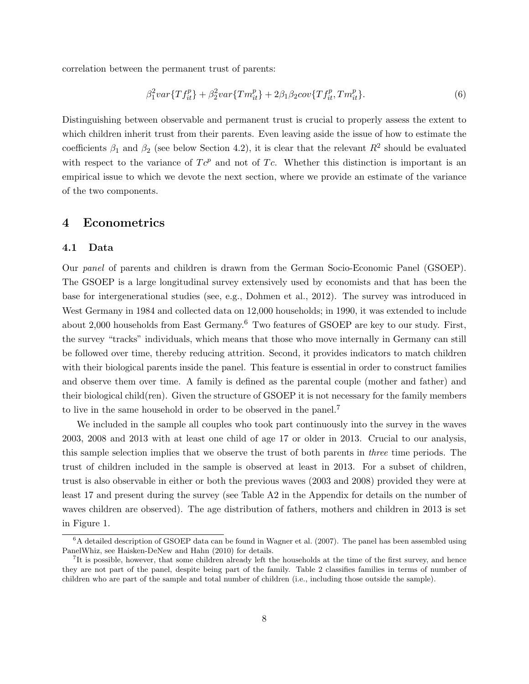correlation between the permanent trust of parents:

<span id="page-9-3"></span>
$$
\beta_1^2 var\{Tf_{it}^p\} + \beta_2^2 var\{Tm_{it}^p\} + 2\beta_1\beta_2 cov\{Tf_{it}^p, Tm_{it}^p\}.
$$
\n(6)

Distinguishing between observable and permanent trust is crucial to properly assess the extent to which children inherit trust from their parents. Even leaving aside the issue of how to estimate the coefficients  $\beta_1$  and  $\beta_2$  (see below Section [4.2\)](#page-10-0), it is clear that the relevant  $R^2$  should be evaluated with respect to the variance of  $Te^p$  and not of T<sub>c</sub>. Whether this distinction is important is an empirical issue to which we devote the next section, where we provide an estimate of the variance of the two components.

### 4 Econometrics

#### <span id="page-9-0"></span>4.1 Data

Our panel of parents and children is drawn from the German Socio-Economic Panel (GSOEP). The GSOEP is a large longitudinal survey extensively used by economists and that has been the base for intergenerational studies (see, e.g., [Dohmen et al.,](#page-26-6) [2012\)](#page-26-6). The survey was introduced in West Germany in 1984 and collected data on 12,000 households; in 1990, it was extended to include about 2,000 households from East Germany.[6](#page-9-1) Two features of GSOEP are key to our study. First, the survey "tracks" individuals, which means that those who move internally in Germany can still be followed over time, thereby reducing attrition. Second, it provides indicators to match children with their biological parents inside the panel. This feature is essential in order to construct families and observe them over time. A family is defined as the parental couple (mother and father) and their biological child(ren). Given the structure of GSOEP it is not necessary for the family members to live in the same household in order to be observed in the panel.[7](#page-9-2)

We included in the sample all couples who took part continuously into the survey in the waves 2003, 2008 and 2013 with at least one child of age 17 or older in 2013. Crucial to our analysis, this sample selection implies that we observe the trust of both parents in three time periods. The trust of children included in the sample is observed at least in 2013. For a subset of children, trust is also observable in either or both the previous waves (2003 and 2008) provided they were at least 17 and present during the survey (see Table [A2](#page-29-0) in the Appendix for details on the number of waves children are observed). The age distribution of fathers, mothers and children in 2013 is set in Figure [1.](#page-18-0)

<span id="page-9-1"></span><sup>6</sup>A detailed description of GSOEP data can be found in [Wagner et al.](#page-27-9) [\(2007\)](#page-27-9). The panel has been assembled using PanelWhiz, see [Haisken-DeNew and Hahn](#page-27-10) [\(2010\)](#page-27-10) for details.

<span id="page-9-2"></span><sup>&</sup>lt;sup>7</sup>It is possible, however, that some children already left the households at the time of the first survey, and hence they are not part of the panel, despite being part of the family. Table [2](#page-20-0) classifies families in terms of number of children who are part of the sample and total number of children (i.e., including those outside the sample).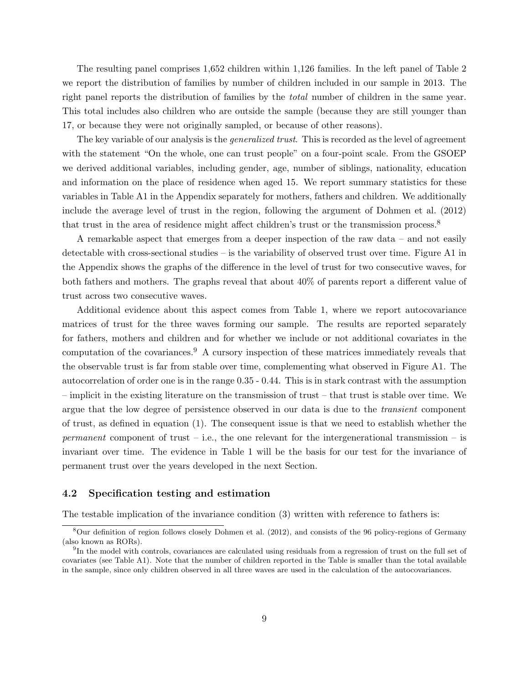The resulting panel comprises 1,652 children within 1,126 families. In the left panel of Table [2](#page-20-0) we report the distribution of families by number of children included in our sample in 2013. The right panel reports the distribution of families by the total number of children in the same year. This total includes also children who are outside the sample (because they are still younger than 17, or because they were not originally sampled, or because of other reasons).

The key variable of our analysis is the *generalized trust*. This is recorded as the level of agreement with the statement "On the whole, one can trust people" on a four-point scale. From the GSOEP we derived additional variables, including gender, age, number of siblings, nationality, education and information on the place of residence when aged 15. We report summary statistics for these variables in Table [A1](#page-28-0) in the Appendix separately for mothers, fathers and children. We additionally include the average level of trust in the region, following the argument of [Dohmen et al.](#page-26-6) [\(2012\)](#page-26-6) that trust in the area of residence might affect children's trust or the transmission process.<sup>[8](#page-10-1)</sup>

A remarkable aspect that emerges from a deeper inspection of the raw data – and not easily detectable with cross-sectional studies – is the variability of observed trust over time. Figure [A1](#page-33-0) in the Appendix shows the graphs of the difference in the level of trust for two consecutive waves, for both fathers and mothers. The graphs reveal that about 40% of parents report a different value of trust across two consecutive waves.

Additional evidence about this aspect comes from Table [1,](#page-19-0) where we report autocovariance matrices of trust for the three waves forming our sample. The results are reported separately for fathers, mothers and children and for whether we include or not additional covariates in the computation of the covariances.[9](#page-10-2) A cursory inspection of these matrices immediately reveals that the observable trust is far from stable over time, complementing what observed in Figure [A1.](#page-33-0) The autocorrelation of order one is in the range 0.35 - 0.44. This is in stark contrast with the assumption – implicit in the existing literature on the transmission of trust – that trust is stable over time. We argue that the low degree of persistence observed in our data is due to the transient component of trust, as defined in equation [\(1\)](#page-6-1). The consequent issue is that we need to establish whether the permanent component of trust – i.e., the one relevant for the intergenerational transmission – is invariant over time. The evidence in Table [1](#page-19-0) will be the basis for our test for the invariance of permanent trust over the years developed in the next Section.

#### <span id="page-10-0"></span>4.2 Specification testing and estimation

The testable implication of the invariance condition [\(3\)](#page-7-1) written with reference to fathers is:

<span id="page-10-1"></span><sup>8</sup>Our definition of region follows closely [Dohmen et al.](#page-26-6) [\(2012\)](#page-26-6), and consists of the 96 policy-regions of Germany (also known as RORs).

<span id="page-10-2"></span><sup>&</sup>lt;sup>9</sup>In the model with controls, covariances are calculated using residuals from a regression of trust on the full set of covariates (see Table [A1\)](#page-28-0). Note that the number of children reported in the Table is smaller than the total available in the sample, since only children observed in all three waves are used in the calculation of the autocovariances.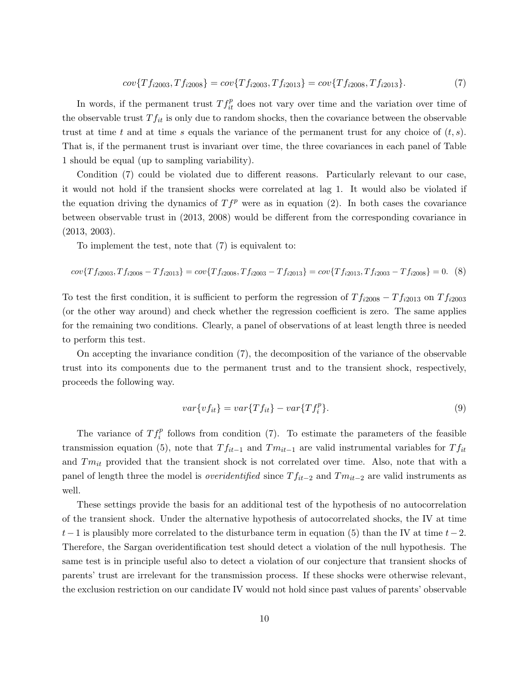<span id="page-11-0"></span>
$$
cov\{Tf_{i2003},Tf_{i2008}\}=cov\{Tf_{i2003},Tf_{i2013}\}=cov\{Tf_{i2008},Tf_{i2013}\}.
$$
\n(7)

In words, if the permanent trust  $T f_{it}^p$  does not vary over time and the variation over time of the observable trust  $T f_{it}$  is only due to random shocks, then the covariance between the observable trust at time t and at time s equals the variance of the permanent trust for any choice of  $(t, s)$ . That is, if the permanent trust is invariant over time, the three covariances in each panel of Table [1](#page-19-0) should be equal (up to sampling variability).

Condition [\(7\)](#page-11-0) could be violated due to different reasons. Particularly relevant to our case, it would not hold if the transient shocks were correlated at lag 1. It would also be violated if the equation driving the dynamics of  $T f^p$  were as in equation [\(2\)](#page-6-0). In both cases the covariance between observable trust in (2013, 2008) would be different from the corresponding covariance in (2013, 2003).

To implement the test, note that [\(7\)](#page-11-0) is equivalent to:

<span id="page-11-1"></span>
$$
cov\{Tf_{i2003},Tf_{i2008}-Tf_{i2013}\}=cov\{Tf_{i2008},Tf_{i2003}-Tf_{i2013}\}=cov\{Tf_{i2013},Tf_{i2003}-Tf_{i2008}\}=0.\tag{8}
$$

To test the first condition, it is sufficient to perform the regression of  $T f_{i2008} - T f_{i2013}$  on  $T f_{i2003}$ (or the other way around) and check whether the regression coefficient is zero. The same applies for the remaining two conditions. Clearly, a panel of observations of at least length three is needed to perform this test.

On accepting the invariance condition [\(7\)](#page-11-0), the decomposition of the variance of the observable trust into its components due to the permanent trust and to the transient shock, respectively, proceeds the following way.

<span id="page-11-2"></span>
$$
var\{vf_{it}\} = var\{Tf_{it}\} - var\{Tf_i^p\}.
$$
\n(9)

The variance of  $T f_i^p$  follows from condition [\(7\)](#page-11-0). To estimate the parameters of the feasible transmission equation [\(5\)](#page-8-0), note that  $T f_{it-1}$  and  $T m_{it-1}$  are valid instrumental variables for  $T f_{it}$ and  $Tm_{it}$  provided that the transient shock is not correlated over time. Also, note that with a panel of length three the model is *overidentified* since  $T f_{it-2}$  and  $T m_{it-2}$  are valid instruments as well.

These settings provide the basis for an additional test of the hypothesis of no autocorrelation of the transient shock. Under the alternative hypothesis of autocorrelated shocks, the IV at time  $t-1$  is plausibly more correlated to the disturbance term in equation [\(5\)](#page-8-0) than the IV at time  $t-2$ . Therefore, the Sargan overidentification test should detect a violation of the null hypothesis. The same test is in principle useful also to detect a violation of our conjecture that transient shocks of parents' trust are irrelevant for the transmission process. If these shocks were otherwise relevant, the exclusion restriction on our candidate IV would not hold since past values of parents' observable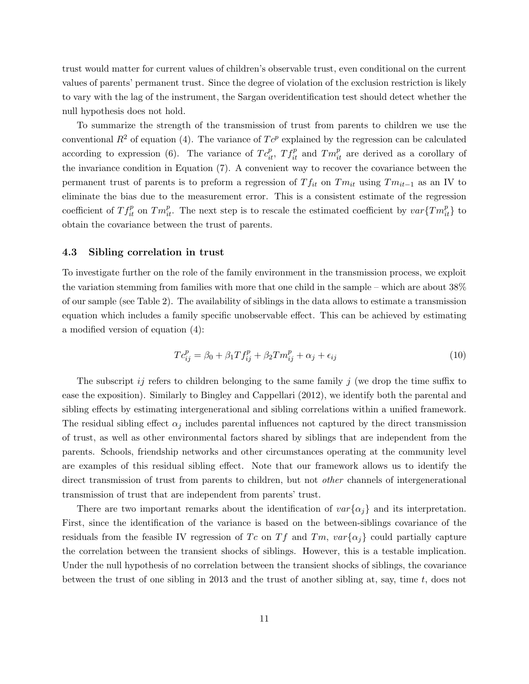trust would matter for current values of children's observable trust, even conditional on the current values of parents' permanent trust. Since the degree of violation of the exclusion restriction is likely to vary with the lag of the instrument, the Sargan overidentification test should detect whether the null hypothesis does not hold.

To summarize the strength of the transmission of trust from parents to children we use the conventional  $R^2$  of equation [\(4\)](#page-7-0). The variance of  $T c^p$  explained by the regression can be calculated according to expression [\(6\)](#page-9-3). The variance of  $T c_{it}^p$ ,  $T f_{it}^p$  and  $T m_{it}^p$  are derived as a corollary of the invariance condition in Equation [\(7\)](#page-11-0). A convenient way to recover the covariance between the permanent trust of parents is to preform a regression of  $T f_{it}$  on  $T m_{it}$  using  $T m_{it-1}$  as an IV to eliminate the bias due to the measurement error. This is a consistent estimate of the regression coefficient of  $T f_{it}^p$  on  $T m_{it}^p$ . The next step is to rescale the estimated coefficient by  $var\{T m_{it}^p\}$  to obtain the covariance between the trust of parents.

#### 4.3 Sibling correlation in trust

To investigate further on the role of the family environment in the transmission process, we exploit the variation stemming from families with more that one child in the sample – which are about 38% of our sample (see Table [2\)](#page-20-0). The availability of siblings in the data allows to estimate a transmission equation which includes a family specific unobservable effect. This can be achieved by estimating a modified version of equation [\(4\)](#page-7-0):

<span id="page-12-0"></span>
$$
T c_{ij}^p = \beta_0 + \beta_1 T f_{ij}^p + \beta_2 T m_{ij}^p + \alpha_j + \epsilon_{ij}
$$
\n
$$
\tag{10}
$$

The subscript ij refers to children belonging to the same family j (we drop the time suffix to ease the exposition). Similarly to [Bingley and Cappellari](#page-25-11) [\(2012\)](#page-25-11), we identify both the parental and sibling effects by estimating intergenerational and sibling correlations within a unified framework. The residual sibling effect  $\alpha_j$  includes parental influences not captured by the direct transmission of trust, as well as other environmental factors shared by siblings that are independent from the parents. Schools, friendship networks and other circumstances operating at the community level are examples of this residual sibling effect. Note that our framework allows us to identify the direct transmission of trust from parents to children, but not *other* channels of intergenerational transmission of trust that are independent from parents' trust.

There are two important remarks about the identification of  $var{\lbrace \alpha_i \rbrace}$  and its interpretation. First, since the identification of the variance is based on the between-siblings covariance of the residuals from the feasible IV regression of Tc on Tf and Tm,  $var{\lbrace \alpha_i \rbrace}$  could partially capture the correlation between the transient shocks of siblings. However, this is a testable implication. Under the null hypothesis of no correlation between the transient shocks of siblings, the covariance between the trust of one sibling in 2013 and the trust of another sibling at, say, time  $t$ , does not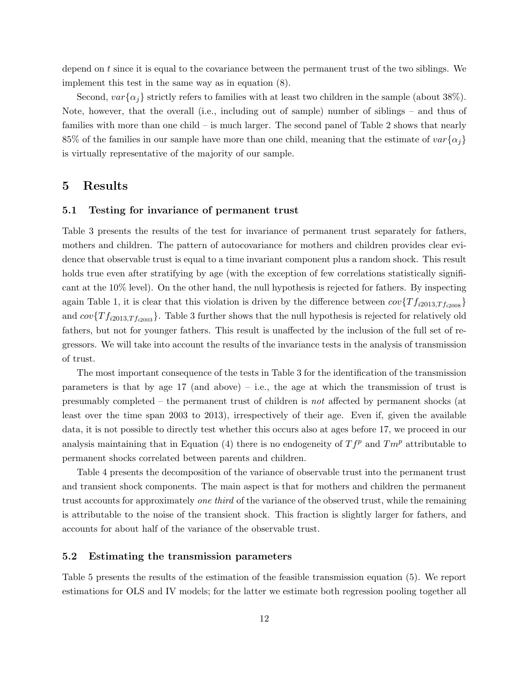depend on  $t$  since it is equal to the covariance between the permanent trust of the two siblings. We implement this test in the same way as in equation [\(8\)](#page-11-1).

Second,  $var{\{\alpha_i\}}$  strictly refers to families with at least two children in the sample (about 38%). Note, however, that the overall (i.e., including out of sample) number of siblings – and thus of families with more than one child – is much larger. The second panel of Table [2](#page-20-0) shows that nearly 85% of the families in our sample have more than one child, meaning that the estimate of  $var{\lbrace \alpha_i \rbrace}$ is virtually representative of the majority of our sample.

### 5 Results

#### 5.1 Testing for invariance of permanent trust

Table [3](#page-21-0) presents the results of the test for invariance of permanent trust separately for fathers, mothers and children. The pattern of autocovariance for mothers and children provides clear evidence that observable trust is equal to a time invariant component plus a random shock. This result holds true even after stratifying by age (with the exception of few correlations statistically significant at the 10% level). On the other hand, the null hypothesis is rejected for fathers. By inspecting again Table [1,](#page-19-0) it is clear that this violation is driven by the difference between  $cov\{Tf_{i2013,Tf_{i2008}}\}$ and  $cov\{Tf_{i2013,Tf_{i2003}}\}$  $cov\{Tf_{i2013,Tf_{i2003}}\}$  $cov\{Tf_{i2013,Tf_{i2003}}\}$ . Table 3 further shows that the null hypothesis is rejected for relatively old fathers, but not for younger fathers. This result is unaffected by the inclusion of the full set of regressors. We will take into account the results of the invariance tests in the analysis of transmission of trust.

The most important consequence of the tests in Table [3](#page-21-0) for the identification of the transmission parameters is that by age  $17$  (and above) – i.e., the age at which the transmission of trust is presumably completed – the permanent trust of children is not affected by permanent shocks (at least over the time span 2003 to 2013), irrespectively of their age. Even if, given the available data, it is not possible to directly test whether this occurs also at ages before 17, we proceed in our analysis maintaining that in Equation [\(4\)](#page-7-0) there is no endogeneity of  $T f^p$  and  $T m^p$  attributable to permanent shocks correlated between parents and children.

Table [4](#page-22-0) presents the decomposition of the variance of observable trust into the permanent trust and transient shock components. The main aspect is that for mothers and children the permanent trust accounts for approximately one third of the variance of the observed trust, while the remaining is attributable to the noise of the transient shock. This fraction is slightly larger for fathers, and accounts for about half of the variance of the observable trust.

#### 5.2 Estimating the transmission parameters

Table [5](#page-23-0) presents the results of the estimation of the feasible transmission equation [\(5\)](#page-8-0). We report estimations for OLS and IV models; for the latter we estimate both regression pooling together all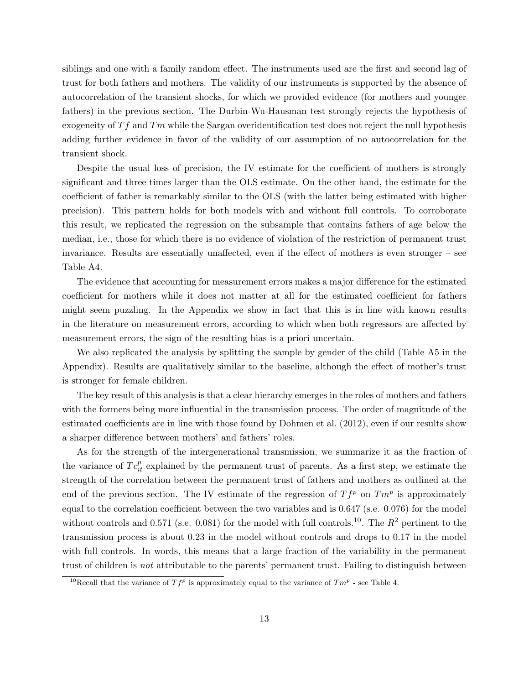siblings and one with a family random effect. The instruments used are the first and second lag of trust for both fathers and mothers. The validity of our instruments is supported by the absence of autocorrelation of the transient shocks, for which we provided evidence (for mothers and younger fathers) in the previous section. The Durbin-Wu-Hausman test strongly rejects the hypothesis of exogeneity of  $Tf$  and  $Tm$  while the Sargan overidentification test does not reject the null hypothesis adding further evidence in favor of the validity of our assumption of no autocorrelation for the transient shock.

Despite the usual loss of precision, the IV estimate for the coefficient of mothers is strongly significant and three times larger than the OLS estimate. On the other hand, the estimate for the coefficient of father is remarkably similar to the OLS (with the latter being estimated with higher precision). This pattern holds for both models with and without full controls. To corroborate this result, we replicated the regression on the subsample that contains fathers of age below the median, i.e., those for which there is no evidence of violation of the restriction of permanent trust invariance. Results are essentially unaffected, even if the effect of mothers is even stronger – see Table [A4.](#page-31-0)

The evidence that accounting for measurement errors makes a major difference for the estimated coefficient for mothers while it does not matter at all for the estimated coefficient for fathers might seem puzzling. In the Appendix we show in fact that this is in line with known results in the literature on measurement errors, according to which when both regressors are affected by measurement errors, the sign of the resulting bias is a priori uncertain.

We also replicated the analysis by splitting the sample by gender of the child (Table [A5](#page-31-1) in the Appendix). Results are qualitatively similar to the baseline, although the effect of mother's trust is stronger for female children.

The key result of this analysis is that a clear hierarchy emerges in the roles of mothers and fathers with the formers being more influential in the transmission process. The order of magnitude of the estimated coefficients are in line with those found by [Dohmen et al.](#page-26-6) [\(2012\)](#page-26-6), even if our results show a sharper difference between mothers' and fathers' roles.

As for the strength of the intergenerational transmission, we summarize it as the fraction of the variance of  $T c_{it}^p$  explained by the permanent trust of parents. As a first step, we estimate the strength of the correlation between the permanent trust of fathers and mothers as outlined at the end of the previous section. The IV estimate of the regression of  $T f^p$  on  $T m^p$  is approximately equal to the correlation coefficient between the two variables and is 0.647 (s.e. 0.076) for the model without controls and 0.571 (s.e. 0.081) for the model with full controls.<sup>[10](#page-14-0)</sup>. The  $R^2$  pertinent to the transmission process is about 0.23 in the model without controls and drops to 0.17 in the model with full controls. In words, this means that a large fraction of the variability in the permanent trust of children is not attributable to the parents' permanent trust. Failing to distinguish between

<span id="page-14-0"></span><sup>&</sup>lt;sup>10</sup>Recall that the variance of  $Tf^p$  is approximately equal to the variance of  $Tm^p$  - see Table [4.](#page-22-0)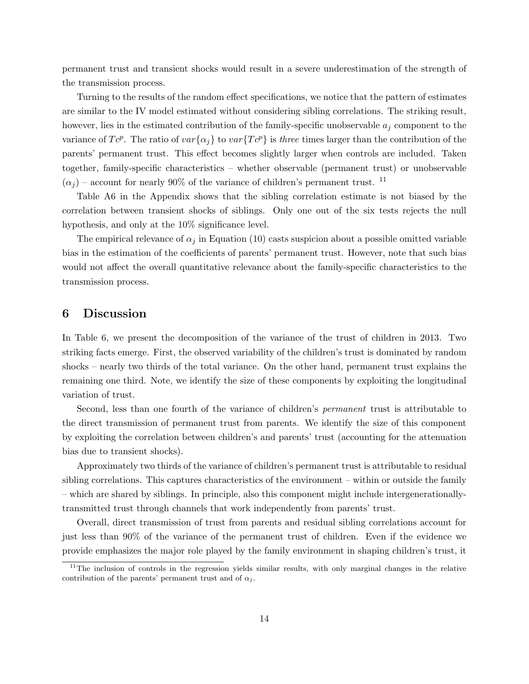permanent trust and transient shocks would result in a severe underestimation of the strength of the transmission process.

Turning to the results of the random effect specifications, we notice that the pattern of estimates are similar to the IV model estimated without considering sibling correlations. The striking result, however, lies in the estimated contribution of the family-specific unobservable  $a_j$  component to the variance of  $T c^p$ . The ratio of  $var\{\alpha_j\}$  to  $var\{T c^p\}$  is *three* times larger than the contribution of the parents' permanent trust. This effect becomes slightly larger when controls are included. Taken together, family-specific characteristics – whether observable (permanent trust) or unobservable  $(\alpha_i)$  – account for nearly 90% of the variance of children's permanent trust. <sup>[11](#page-15-0)</sup>

Table [A6](#page-32-0) in the Appendix shows that the sibling correlation estimate is not biased by the correlation between transient shocks of siblings. Only one out of the six tests rejects the null hypothesis, and only at the 10\% significance level.

The empirical relevance of  $\alpha_j$  in Equation [\(10\)](#page-12-0) casts suspicion about a possible omitted variable bias in the estimation of the coefficients of parents' permanent trust. However, note that such bias would not affect the overall quantitative relevance about the family-specific characteristics to the transmission process.

### 6 Discussion

In Table [6,](#page-24-0) we present the decomposition of the variance of the trust of children in 2013. Two striking facts emerge. First, the observed variability of the children's trust is dominated by random shocks – nearly two thirds of the total variance. On the other hand, permanent trust explains the remaining one third. Note, we identify the size of these components by exploiting the longitudinal variation of trust.

Second, less than one fourth of the variance of children's permanent trust is attributable to the direct transmission of permanent trust from parents. We identify the size of this component by exploiting the correlation between children's and parents' trust (accounting for the attenuation bias due to transient shocks).

Approximately two thirds of the variance of children's permanent trust is attributable to residual sibling correlations. This captures characteristics of the environment – within or outside the family – which are shared by siblings. In principle, also this component might include intergenerationallytransmitted trust through channels that work independently from parents' trust.

Overall, direct transmission of trust from parents and residual sibling correlations account for just less than 90% of the variance of the permanent trust of children. Even if the evidence we provide emphasizes the major role played by the family environment in shaping children's trust, it

<span id="page-15-0"></span><sup>&</sup>lt;sup>11</sup>The inclusion of controls in the regression yields similar results, with only marginal changes in the relative contribution of the parents' permanent trust and of  $\alpha_i$ .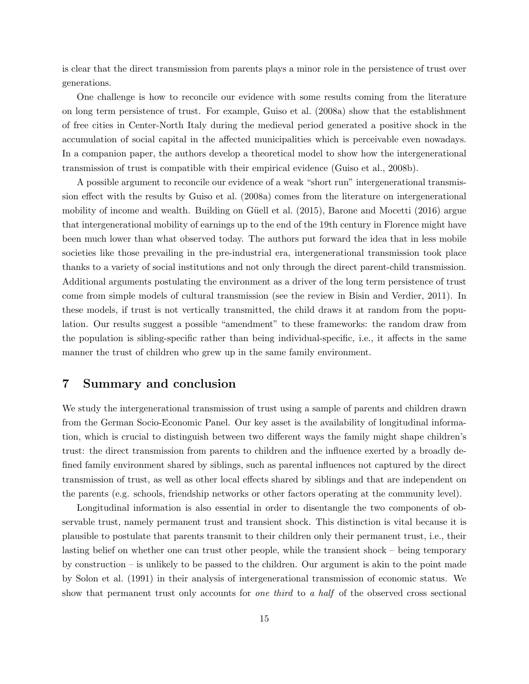is clear that the direct transmission from parents plays a minor role in the persistence of trust over generations.

One challenge is how to reconcile our evidence with some results coming from the literature on long term persistence of trust. For example, [Guiso et al.](#page-26-11) [\(2008a\)](#page-26-11) show that the establishment of free cities in Center-North Italy during the medieval period generated a positive shock in the accumulation of social capital in the affected municipalities which is perceivable even nowadays. In a companion paper, the authors develop a theoretical model to show how the intergenerational transmission of trust is compatible with their empirical evidence [\(Guiso et al.,](#page-26-12) [2008b\)](#page-26-12).

A possible argument to reconcile our evidence of a weak "short run" intergenerational transmission effect with the results by [Guiso et al.](#page-26-11) [\(2008a\)](#page-26-11) comes from the literature on intergenerational mobility of income and wealth. Building on Güell et al.  $(2015)$ , [Barone and Mocetti](#page-25-12)  $(2016)$  argue that intergenerational mobility of earnings up to the end of the 19th century in Florence might have been much lower than what observed today. The authors put forward the idea that in less mobile societies like those prevailing in the pre-industrial era, intergenerational transmission took place thanks to a variety of social institutions and not only through the direct parent-child transmission. Additional arguments postulating the environment as a driver of the long term persistence of trust come from simple models of cultural transmission (see the review in [Bisin and Verdier,](#page-25-13) [2011\)](#page-25-13). In these models, if trust is not vertically transmitted, the child draws it at random from the population. Our results suggest a possible "amendment" to these frameworks: the random draw from the population is sibling-specific rather than being individual-specific, i.e., it affects in the same manner the trust of children who grew up in the same family environment.

### 7 Summary and conclusion

We study the intergenerational transmission of trust using a sample of parents and children drawn from the German Socio-Economic Panel. Our key asset is the availability of longitudinal information, which is crucial to distinguish between two different ways the family might shape children's trust: the direct transmission from parents to children and the influence exerted by a broadly defined family environment shared by siblings, such as parental influences not captured by the direct transmission of trust, as well as other local effects shared by siblings and that are independent on the parents (e.g. schools, friendship networks or other factors operating at the community level).

Longitudinal information is also essential in order to disentangle the two components of observable trust, namely permanent trust and transient shock. This distinction is vital because it is plausible to postulate that parents transmit to their children only their permanent trust, i.e., their lasting belief on whether one can trust other people, while the transient shock – being temporary by construction – is unlikely to be passed to the children. Our argument is akin to the point made by [Solon et al.](#page-27-7) [\(1991\)](#page-27-7) in their analysis of intergenerational transmission of economic status. We show that permanent trust only accounts for *one third* to a half of the observed cross sectional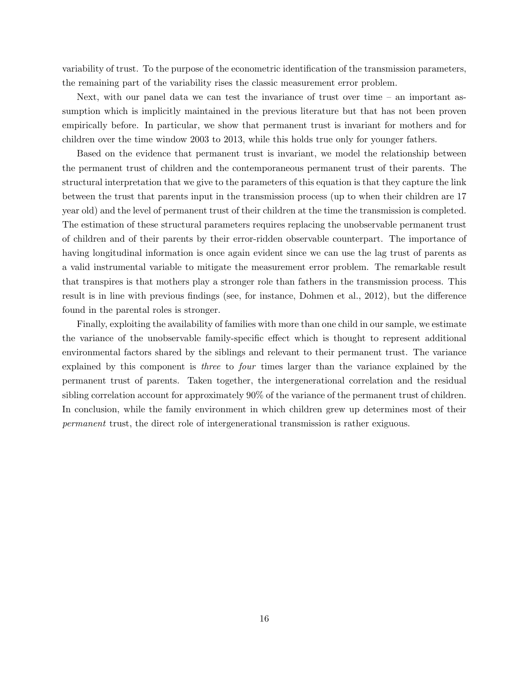variability of trust. To the purpose of the econometric identification of the transmission parameters, the remaining part of the variability rises the classic measurement error problem.

Next, with our panel data we can test the invariance of trust over time – an important assumption which is implicitly maintained in the previous literature but that has not been proven empirically before. In particular, we show that permanent trust is invariant for mothers and for children over the time window 2003 to 2013, while this holds true only for younger fathers.

Based on the evidence that permanent trust is invariant, we model the relationship between the permanent trust of children and the contemporaneous permanent trust of their parents. The structural interpretation that we give to the parameters of this equation is that they capture the link between the trust that parents input in the transmission process (up to when their children are 17 year old) and the level of permanent trust of their children at the time the transmission is completed. The estimation of these structural parameters requires replacing the unobservable permanent trust of children and of their parents by their error-ridden observable counterpart. The importance of having longitudinal information is once again evident since we can use the lag trust of parents as a valid instrumental variable to mitigate the measurement error problem. The remarkable result that transpires is that mothers play a stronger role than fathers in the transmission process. This result is in line with previous findings (see, for instance, [Dohmen et al.,](#page-26-6) [2012\)](#page-26-6), but the difference found in the parental roles is stronger.

Finally, exploiting the availability of families with more than one child in our sample, we estimate the variance of the unobservable family-specific effect which is thought to represent additional environmental factors shared by the siblings and relevant to their permanent trust. The variance explained by this component is three to four times larger than the variance explained by the permanent trust of parents. Taken together, the intergenerational correlation and the residual sibling correlation account for approximately 90% of the variance of the permanent trust of children. In conclusion, while the family environment in which children grew up determines most of their permanent trust, the direct role of intergenerational transmission is rather exiguous.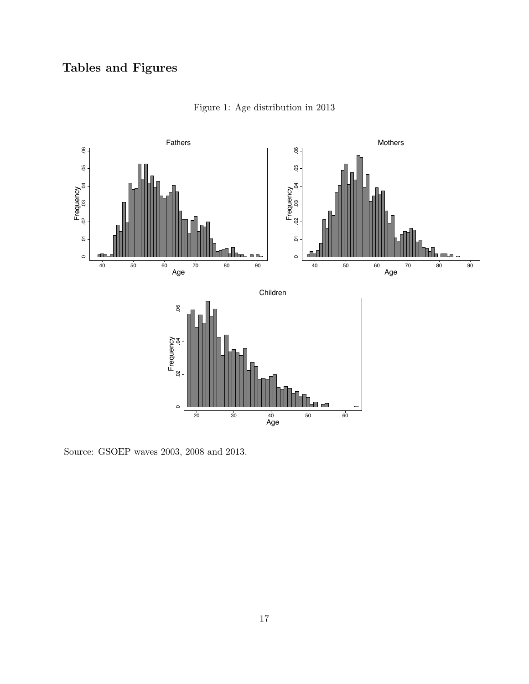# <span id="page-18-0"></span>Tables and Figures



Figure 1: Age distribution in 2013

Source: GSOEP waves 2003, 2008 and 2013.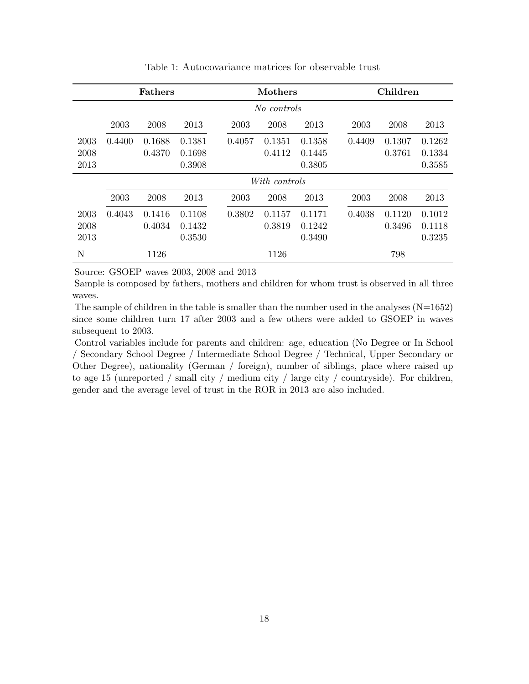<span id="page-19-0"></span>

|      | <b>Fathers</b> |        |        |        | <b>Mothers</b> |        |        | Children |        |
|------|----------------|--------|--------|--------|----------------|--------|--------|----------|--------|
|      | No controls    |        |        |        |                |        |        |          |        |
|      | 2003           | 2008   | 2013   | 2003   | 2008           | 2013   | 2003   | 2008     | 2013   |
| 2003 | 0.4400         | 0.1688 | 0.1381 | 0.4057 | 0.1351         | 0.1358 | 0.4409 | 0.1307   | 0.1262 |
| 2008 |                | 0.4370 | 0.1698 |        | 0.4112         | 0.1445 |        | 0.3761   | 0.1334 |
| 2013 |                |        | 0.3908 |        |                | 0.3805 |        |          | 0.3585 |
|      |                |        |        |        | With controls  |        |        |          |        |
|      | 2003           | 2008   | 2013   | 2003   | 2008           | 2013   | 2003   | 2008     | 2013   |
| 2003 | 0.4043         | 0.1416 | 0.1108 | 0.3802 | 0.1157         | 0.1171 | 0.4038 | 0.1120   | 0.1012 |
| 2008 |                | 0.4034 | 0.1432 |        | 0.3819         | 0.1242 |        | 0.3496   | 0.1118 |
| 2013 |                |        | 0.3530 |        |                | 0.3490 |        |          | 0.3235 |
| N    |                | 1126   |        |        | 1126           |        |        | 798      |        |

Table 1: Autocovariance matrices for observable trust

Sample is composed by fathers, mothers and children for whom trust is observed in all three waves.

The sample of children in the table is smaller than the number used in the analyses  $(N=1652)$ since some children turn 17 after 2003 and a few others were added to GSOEP in waves subsequent to 2003.

Control variables include for parents and children: age, education (No Degree or In School / Secondary School Degree / Intermediate School Degree / Technical, Upper Secondary or Other Degree), nationality (German / foreign), number of siblings, place where raised up to age 15 (unreported / small city / medium city / large city / countryside). For children, gender and the average level of trust in the ROR in 2013 are also included.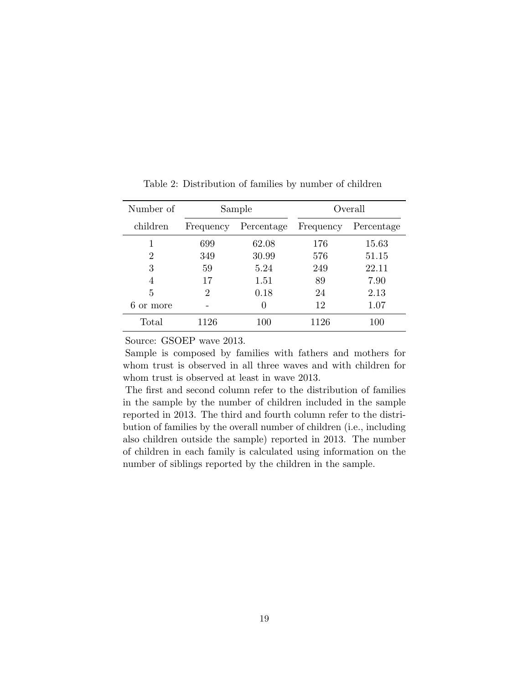| Number of      |           | Sample     | Overall   |            |  |
|----------------|-----------|------------|-----------|------------|--|
| children       | Frequency | Percentage | Frequency | Percentage |  |
|                | 699       | 62.08      | 176       | 15.63      |  |
| $\overline{2}$ | 349       | 30.99      | 576       | 51.15      |  |
| 3              | 59        | 5.24       | 249       | 22.11      |  |
| 4              | 17        | 1.51       | 89        | 7.90       |  |
| 5              | 2         | 0.18       | 24        | 2.13       |  |
| or more        |           | 0          | 12        | 1.07       |  |
| Total          | 1126      | 100        | 1126      | 100        |  |

<span id="page-20-0"></span>Table 2: Distribution of families by number of children

Source: GSOEP wave 2013.

Sample is composed by families with fathers and mothers for whom trust is observed in all three waves and with children for whom trust is observed at least in wave 2013.

The first and second column refer to the distribution of families in the sample by the number of children included in the sample reported in 2013. The third and fourth column refer to the distribution of families by the overall number of children (i.e., including also children outside the sample) reported in 2013. The number of children in each family is calculated using information on the number of siblings reported by the children in the sample.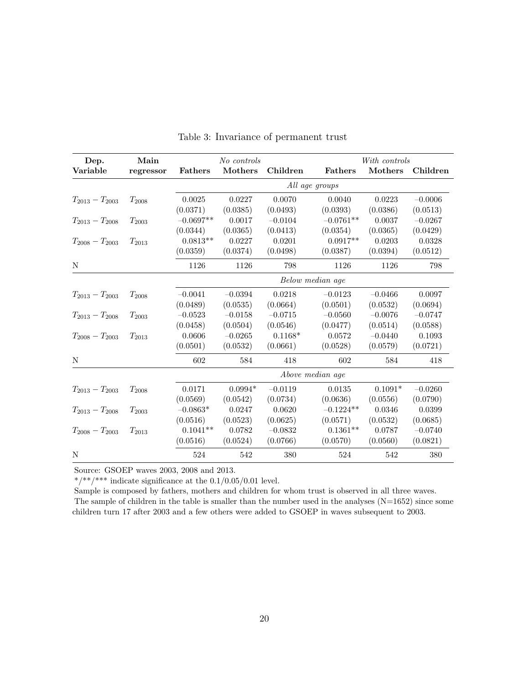<span id="page-21-0"></span>

| Dep.                | Main       |                | No controls |           |                  | With controls |           |
|---------------------|------------|----------------|-------------|-----------|------------------|---------------|-----------|
| Variable            | regressor  | <b>Fathers</b> | Mothers     | Children  | <b>Fathers</b>   | Mothers       | Children  |
|                     |            |                |             |           | All age groups   |               |           |
| $T_{2013}-T_{2003}$ | $T_{2008}$ | 0.0025         | 0.0227      | 0.0070    | 0.0040           | 0.0223        | $-0.0006$ |
|                     |            | (0.0371)       | (0.0385)    | (0.0493)  | (0.0393)         | (0.0386)      | (0.0513)  |
| $T_{2013}-T_{2008}$ | $T_{2003}$ | $-0.0697**$    | 0.0017      | $-0.0104$ | $-0.0761**$      | 0.0037        | $-0.0267$ |
|                     |            | (0.0344)       | (0.0365)    | (0.0413)  | (0.0354)         | (0.0365)      | (0.0429)  |
| $T_{2008}-T_{2003}$ | $T_{2013}$ | $0.0813**$     | 0.0227      | 0.0201    | $0.0917**$       | 0.0203        | 0.0328    |
|                     |            | (0.0359)       | (0.0374)    | (0.0498)  | (0.0387)         | (0.0394)      | (0.0512)  |
| N                   |            | 1126           | 1126        | 798       | 1126             | 1126          | 798       |
|                     |            |                |             |           | Below median age |               |           |
| $T_{2013}-T_{2003}$ | $T_{2008}$ | $-0.0041$      | $-0.0394$   | 0.0218    | $-0.0123$        | $-0.0466$     | 0.0097    |
|                     |            | (0.0489)       | (0.0535)    | (0.0664)  | (0.0501)         | (0.0532)      | (0.0694)  |
| $T_{2013}-T_{2008}$ | $T_{2003}$ | $-0.0523$      | $-0.0158$   | $-0.0715$ | $-0.0560$        | $-0.0076$     | $-0.0747$ |
|                     |            | (0.0458)       | (0.0504)    | (0.0546)  | (0.0477)         | (0.0514)      | (0.0588)  |
| $T_{2008}-T_{2003}$ | $T_{2013}$ | 0.0606         | $-0.0265$   | $0.1168*$ | 0.0572           | $-0.0440$     | 0.1093    |
|                     |            | (0.0501)       | (0.0532)    | (0.0661)  | (0.0528)         | (0.0579)      | (0.0721)  |
| N                   |            | 602            | 584         | 418       | 602              | 584           | 418       |
|                     |            |                |             |           | Above median age |               |           |
| $T_{2013}-T_{2003}$ | $T_{2008}$ | 0.0171         | $0.0994*$   | $-0.0119$ | 0.0135           | $0.1091*$     | $-0.0260$ |
|                     |            | (0.0569)       | (0.0542)    | (0.0734)  | (0.0636)         | (0.0556)      | (0.0790)  |
| $T_{2013}-T_{2008}$ | $T_{2003}$ | $-0.0863*$     | 0.0247      | 0.0620    | $-0.1224**$      | 0.0346        | 0.0399    |
|                     |            | (0.0516)       | (0.0523)    | (0.0625)  | (0.0571)         | (0.0532)      | (0.0685)  |
| $T_{2008}-T_{2003}$ | $T_{2013}$ | $0.1041**$     | 0.0782      | $-0.0832$ | $0.1361**$       | 0.0787        | $-0.0740$ |
|                     |            | (0.0516)       | (0.0524)    | (0.0766)  | (0.0570)         | (0.0560)      | (0.0821)  |
| N                   |            | 524            | 542         | 380       | 524              | 542           | 380       |

### Table 3: Invariance of permanent trust

Source: GSOEP waves 2003, 2008 and 2013.

\*/\*\*/\*\*\* indicate significance at the  $0.1/0.05/0.01$  level.

Sample is composed by fathers, mothers and children for whom trust is observed in all three waves. The sample of children in the table is smaller than the number used in the analyses (N=1652) since some children turn 17 after 2003 and a few others were added to GSOEP in waves subsequent to 2003.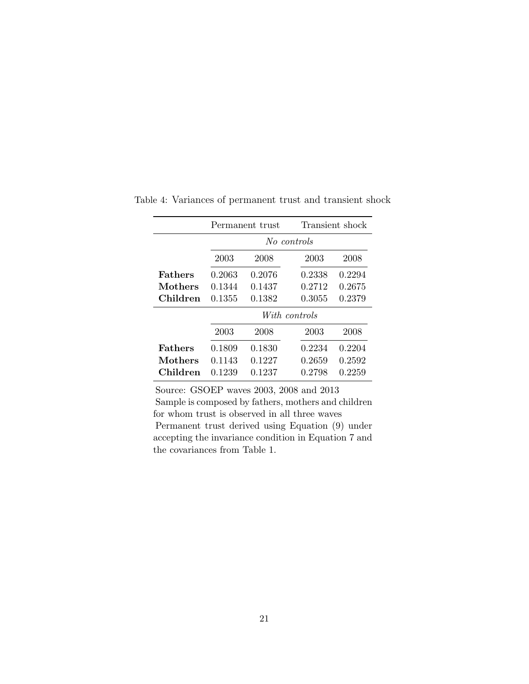|                |        | Permanent trust      |             | Transient shock |  |  |  |  |
|----------------|--------|----------------------|-------------|-----------------|--|--|--|--|
|                |        |                      | No controls |                 |  |  |  |  |
|                | 2003   | 2008<br>2003<br>2008 |             |                 |  |  |  |  |
| <b>Fathers</b> | 0.2063 | 0.2076               | 0.2338      | 0.2294          |  |  |  |  |
| Mothers        | 0.1344 | 0.1437               | 0.2712      | 0.2675          |  |  |  |  |
| Children       | 0.1355 | 0.1382               | 0.3055      | 0.2379          |  |  |  |  |
|                |        | With controls        |             |                 |  |  |  |  |
|                | 2003   | 2008                 | 2003        | 2008            |  |  |  |  |
| <b>Fathers</b> | 0.1809 | 0.1830               | 0.2234      | 0.2204          |  |  |  |  |
| Mothers        | 0.1143 | 0.1227               | 0.2659      | 0.2592          |  |  |  |  |
| Children       | 0.1239 | 0.1237               | 0.2798      | 0.2259          |  |  |  |  |

<span id="page-22-0"></span>Table 4: Variances of permanent trust and transient shock

Source: GSOEP waves 2003, 2008 and 2013 Sample is composed by fathers, mothers and children for whom trust is observed in all three waves Permanent trust derived using Equation [\(9\)](#page-11-2) under accepting the invariance condition in Equation [7](#page-11-0) and the covariances from Table [1.](#page-19-0)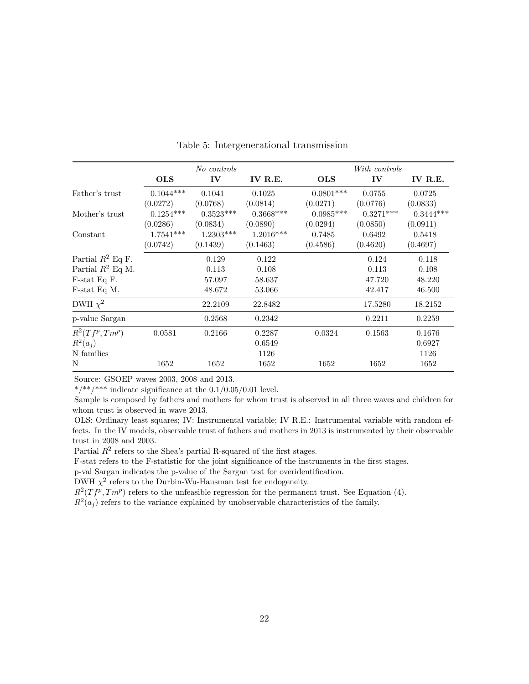<span id="page-23-0"></span>

|                     |             | No controls |             |             | With controls |             |  |  |
|---------------------|-------------|-------------|-------------|-------------|---------------|-------------|--|--|
|                     | <b>OLS</b>  | IV          | IV R.E.     | <b>OLS</b>  | IV            | IV R.E.     |  |  |
| Father's trust      | $0.1044***$ | 0.1041      | 0.1025      | $0.0801***$ | 0.0755        | 0.0725      |  |  |
|                     | (0.0272)    | (0.0768)    | (0.0814)    | (0.0271)    | (0.0776)      | (0.0833)    |  |  |
| Mother's trust      | $0.1254***$ | $0.3523***$ | $0.3668***$ | $0.0985***$ | $0.3271***$   | $0.3444***$ |  |  |
|                     | (0.0286)    | (0.0834)    | (0.0890)    | (0.0294)    | (0.0850)      | (0.0911)    |  |  |
| Constant            | $1.7541***$ | $1.2303***$ | $1.2016***$ | 0.7485      | 0.6492        | 0.5418      |  |  |
|                     | (0.0742)    | (0.1439)    | (0.1463)    | (0.4586)    | (0.4620)      | (0.4697)    |  |  |
| Partial $R^2$ Eq F. |             | 0.129       | 0.122       |             | 0.124         | 0.118       |  |  |
| Partial $R^2$ Eq M. |             | 0.113       | 0.108       |             | 0.113         | 0.108       |  |  |
| F-stat Eq F.        |             | 57.097      | 58.637      |             | 47.720        | 48.220      |  |  |
| F-stat Eq M.        |             | 48.672      | 53.066      |             | 42.417        | 46.500      |  |  |
| DWH $\chi^2$        |             | 22.2109     | 22.8482     |             | 17.5280       | 18.2152     |  |  |
| p-value Sargan      |             | 0.2568      | 0.2342      |             | 0.2211        | 0.2259      |  |  |
| $R^2(Tf^p, Tm^p)$   | 0.0581      | 0.2166      | 0.2287      | 0.0324      | 0.1563        | 0.1676      |  |  |
| $R^2(a_i)$          |             |             | 0.6549      |             |               | 0.6927      |  |  |
| N families          |             |             | 1126        |             |               | 1126        |  |  |
| N                   | 1652        | 1652        | 1652        | 1652        | 1652          | 1652        |  |  |

Table 5: Intergenerational transmission

\*/\*\*/\*\*\* indicate significance at the  $0.1/0.05/0.01$  level.

Sample is composed by fathers and mothers for whom trust is observed in all three waves and children for whom trust is observed in wave 2013.

OLS: Ordinary least squares; IV: Instrumental variable; IV R.E.: Instrumental variable with random effects. In the IV models, observable trust of fathers and mothers in 2013 is instrumented by their observable trust in 2008 and 2003.

Partial  $R^2$  refers to the Shea's partial R-squared of the first stages.

F-stat refers to the F-statistic for the joint significance of the instruments in the first stages.

p-val Sargan indicates the p-value of the Sargan test for overidentification.

DWH  $\chi^2$  refers to the Durbin-Wu-Hausman test for endogeneity.

 $R^2(Tf^p, Tm^p)$  refers to the unfeasible regression for the permanent trust. See Equation [\(4\)](#page-7-0).

 $R^2(a_j)$  refers to the variance explained by unobservable characteristics of the family.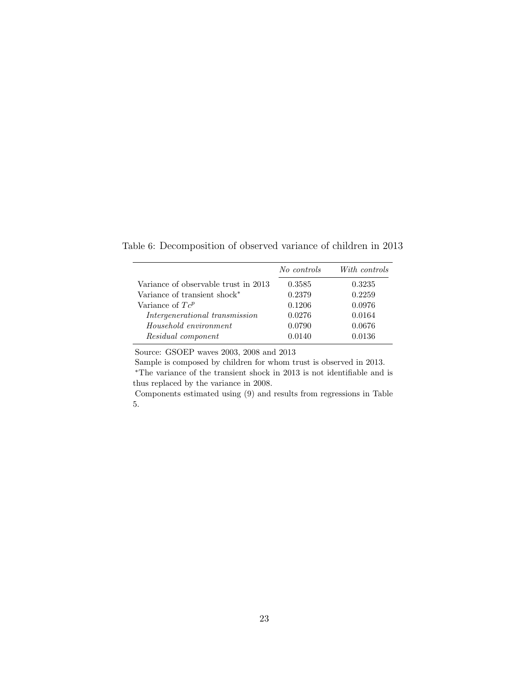<span id="page-24-0"></span>Table 6: Decomposition of observed variance of children in 2013

|                                          | No controls | With controls |
|------------------------------------------|-------------|---------------|
| Variance of observable trust in 2013     | 0.3585      | 0.3235        |
| Variance of transient shock <sup>*</sup> | 0.2379      | 0.2259        |
| Variance of $T_c^p$                      | 0.1206      | 0.0976        |
| Intergenerational transmission           | 0.0276      | 0.0164        |
| Household environment                    | 0.0790      | 0.0676        |
| Residual component                       | 0.0140      | 0.0136        |

Sample is composed by children for whom trust is observed in 2013.  $^{\ast} \mathrm{The}$  variance of the transient shock in 2013 is not identifiable and is thus replaced by the variance in 2008.

Components estimated using [\(9\)](#page-11-2) and results from regressions in Table [5.](#page-23-0)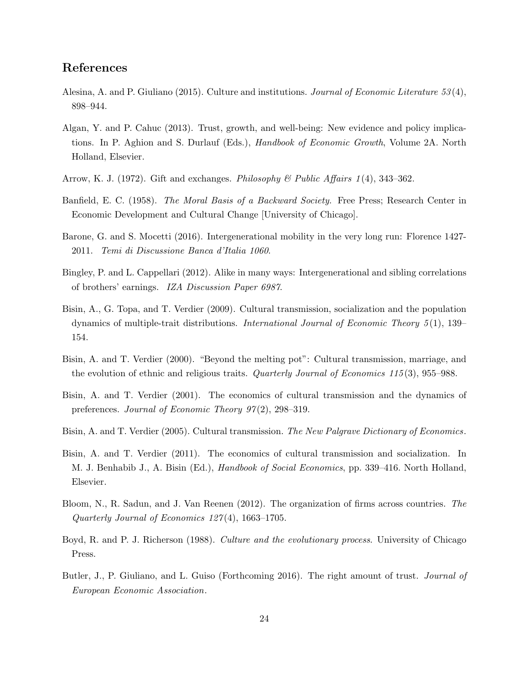# References

- <span id="page-25-0"></span>Alesina, A. and P. Giuliano (2015). Culture and institutions. Journal of Economic Literature 53(4), 898–944.
- <span id="page-25-4"></span>Algan, Y. and P. Cahuc (2013). Trust, growth, and well-being: New evidence and policy implications. In P. Aghion and S. Durlauf (Eds.), Handbook of Economic Growth, Volume 2A. North Holland, Elsevier.
- <span id="page-25-6"></span>Arrow, K. J. (1972). Gift and exchanges. Philosophy  $\mathcal{B}$  Public Affairs 1(4), 343–362.
- <span id="page-25-1"></span>Banfield, E. C. (1958). The Moral Basis of a Backward Society. Free Press; Research Center in Economic Development and Cultural Change [University of Chicago].
- <span id="page-25-12"></span>Barone, G. and S. Mocetti (2016). Intergenerational mobility in the very long run: Florence 1427- 2011. Temi di Discussione Banca d'Italia 1060.
- <span id="page-25-11"></span>Bingley, P. and L. Cappellari (2012). Alike in many ways: Intergenerational and sibling correlations of brothers' earnings. IZA Discussion Paper 6987.
- <span id="page-25-10"></span>Bisin, A., G. Topa, and T. Verdier (2009). Cultural transmission, socialization and the population dynamics of multiple-trait distributions. International Journal of Economic Theory 5 (1), 139– 154.
- <span id="page-25-8"></span>Bisin, A. and T. Verdier (2000). "Beyond the melting pot": Cultural transmission, marriage, and the evolution of ethnic and religious traits. *Quarterly Journal of Economics 115* (3), 955–988.
- <span id="page-25-5"></span>Bisin, A. and T. Verdier (2001). The economics of cultural transmission and the dynamics of preferences. Journal of Economic Theory  $97(2)$ , 298-319.
- <span id="page-25-9"></span>Bisin, A. and T. Verdier (2005). Cultural transmission. The New Palgrave Dictionary of Economics.
- <span id="page-25-13"></span>Bisin, A. and T. Verdier (2011). The economics of cultural transmission and socialization. In M. J. Benhabib J., A. Bisin (Ed.), Handbook of Social Economics, pp. 339–416. North Holland, Elsevier.
- <span id="page-25-3"></span>Bloom, N., R. Sadun, and J. Van Reenen (2012). The organization of firms across countries. The Quarterly Journal of Economics 127 (4), 1663–1705.
- <span id="page-25-7"></span>Boyd, R. and P. J. Richerson (1988). Culture and the evolutionary process. University of Chicago Press.
- <span id="page-25-2"></span>Butler, J., P. Giuliano, and L. Guiso (Forthcoming 2016). The right amount of trust. *Journal of* European Economic Association.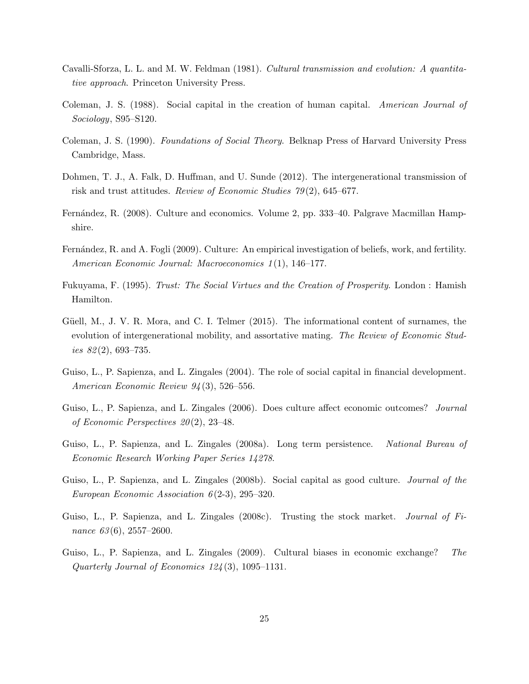- <span id="page-26-10"></span>Cavalli-Sforza, L. L. and M. W. Feldman (1981). Cultural transmission and evolution: A quantitative approach. Princeton University Press.
- <span id="page-26-0"></span>Coleman, J. S. (1988). Social capital in the creation of human capital. American Journal of Sociology, S95–S120.
- <span id="page-26-1"></span>Coleman, J. S. (1990). Foundations of Social Theory. Belknap Press of Harvard University Press Cambridge, Mass.
- <span id="page-26-6"></span>Dohmen, T. J., A. Falk, D. Huffman, and U. Sunde (2012). The intergenerational transmission of risk and trust attitudes. Review of Economic Studies 79 (2), 645–677.
- <span id="page-26-9"></span>Fernández, R. (2008). Culture and economics. Volume 2, pp. 333–40. Palgrave Macmillan Hampshire.
- <span id="page-26-7"></span>Fernández, R. and A. Fogli (2009). Culture: An empirical investigation of beliefs, work, and fertility. American Economic Journal: Macroeconomics 1 (1), 146–177.
- <span id="page-26-2"></span>Fukuyama, F. (1995). Trust: The Social Virtues and the Creation of Prosperity. London : Hamish Hamilton.
- <span id="page-26-13"></span>Güell, M., J. V. R. Mora, and C. I. Telmer (2015). The informational content of surnames, the evolution of intergenerational mobility, and assortative mating. The Review of Economic Studies  $82(2)$ , 693–735.
- <span id="page-26-3"></span>Guiso, L., P. Sapienza, and L. Zingales (2004). The role of social capital in financial development. American Economic Review 94 (3), 526–556.
- <span id="page-26-8"></span>Guiso, L., P. Sapienza, and L. Zingales (2006). Does culture affect economic outcomes? Journal of Economic Perspectives  $20(2)$ , 23-48.
- <span id="page-26-11"></span>Guiso, L., P. Sapienza, and L. Zingales (2008a). Long term persistence. National Bureau of Economic Research Working Paper Series 14278.
- <span id="page-26-12"></span>Guiso, L., P. Sapienza, and L. Zingales (2008b). Social capital as good culture. Journal of the European Economic Association  $6(2-3)$ , 295-320.
- <span id="page-26-4"></span>Guiso, L., P. Sapienza, and L. Zingales (2008c). Trusting the stock market. *Journal of Fi*nance  $63(6)$ ,  $2557-2600$ .
- <span id="page-26-5"></span>Guiso, L., P. Sapienza, and L. Zingales (2009). Cultural biases in economic exchange? The Quarterly Journal of Economics 124 (3), 1095–1131.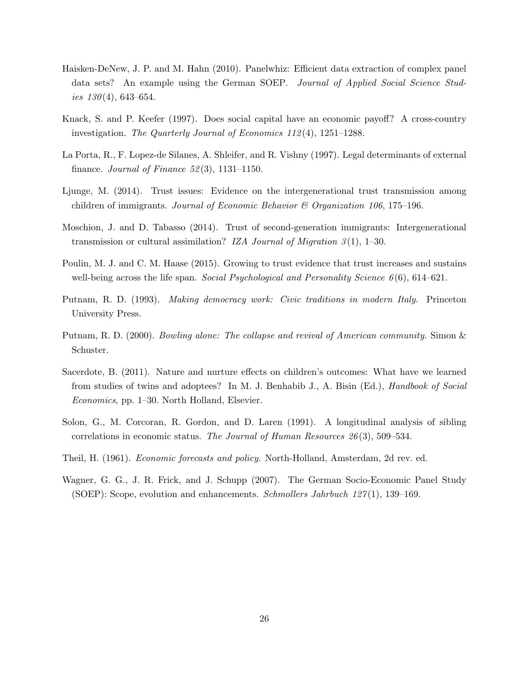- <span id="page-27-10"></span>Haisken-DeNew, J. P. and M. Hahn (2010). Panelwhiz: Efficient data extraction of complex panel data sets? An example using the German SOEP. Journal of Applied Social Science Studies  $130(4)$ , 643–654.
- <span id="page-27-2"></span>Knack, S. and P. Keefer (1997). Does social capital have an economic payoff? A cross-country investigation. The Quarterly Journal of Economics 112 (4), 1251–1288.
- <span id="page-27-3"></span>La Porta, R., F. Lopez-de Silanes, A. Shleifer, and R. Vishny (1997). Legal determinants of external finance. Journal of Finance  $52(3)$ , 1131–1150.
- <span id="page-27-4"></span>Ljunge, M. (2014). Trust issues: Evidence on the intergenerational trust transmission among children of immigrants. Journal of Economic Behavior & Organization 106, 175–196.
- <span id="page-27-5"></span>Moschion, J. and D. Tabasso (2014). Trust of second-generation immigrants: Intergenerational transmission or cultural assimilation? IZA Journal of Migration  $3(1)$ , 1–30.
- <span id="page-27-6"></span>Poulin, M. J. and C. M. Haase (2015). Growing to trust evidence that trust increases and sustains well-being across the life span. Social Psychological and Personality Science  $6(6)$ ,  $614-621$ .
- <span id="page-27-0"></span>Putnam, R. D. (1993). Making democracy work: Civic traditions in modern Italy. Princeton University Press.
- <span id="page-27-1"></span>Putnam, R. D. (2000). Bowling alone: The collapse and revival of American community. Simon & Schuster.
- <span id="page-27-8"></span>Sacerdote, B. (2011). Nature and nurture effects on children's outcomes: What have we learned from studies of twins and adoptees? In M. J. Benhabib J., A. Bisin (Ed.), *Handbook of Social* Economics, pp. 1–30. North Holland, Elsevier.
- <span id="page-27-7"></span>Solon, G., M. Corcoran, R. Gordon, and D. Laren (1991). A longitudinal analysis of sibling correlations in economic status. The Journal of Human Resources 26 (3), 509–534.
- <span id="page-27-11"></span>Theil, H. (1961). Economic forecasts and policy. North-Holland, Amsterdam, 2d rev. ed.
- <span id="page-27-9"></span>Wagner, G. G., J. R. Frick, and J. Schupp (2007). The German Socio-Economic Panel Study (SOEP): Scope, evolution and enhancements. Schmollers Jahrbuch  $127(1)$ , 139–169.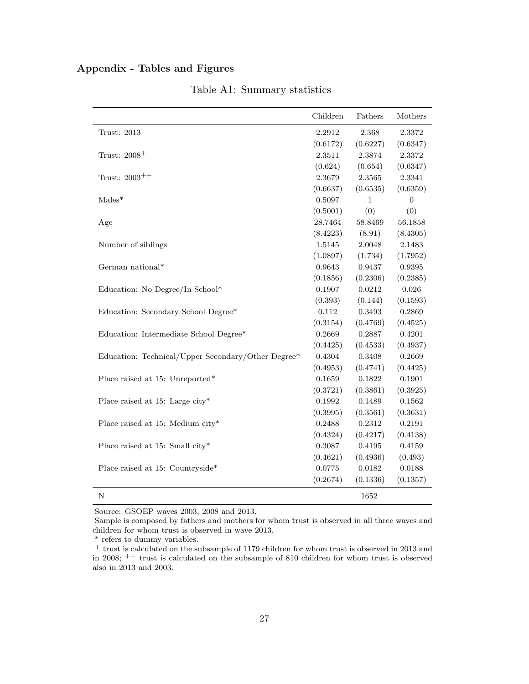## <span id="page-28-0"></span>Appendix - Tables and Figures

|                                                    | Children   | Fathers    | Mothers    |
|----------------------------------------------------|------------|------------|------------|
| Trust: 2013                                        | 2.2912     | 2.368      | 2.3372     |
|                                                    | (0.6172)   | (0.6227)   | (0.6347)   |
| Trust: 2008 <sup>+</sup>                           | 2.3511     | 2.3874     | 2.3372     |
|                                                    | (0.624)    | (0.654)    | (0.6347)   |
| Trust: $2003^{++}$                                 | 2.3679     | $2.3565\,$ | 2.3341     |
|                                                    | (0.6637)   | (0.6535)   | (0.6359)   |
| $Males*$                                           | 0.5097     | 1          | 0          |
|                                                    | (0.5001)   | (0)        | (0)        |
| Age                                                | 28.7464    | 58.8469    | 56.1858    |
|                                                    | (8.4223)   | (8.91)     | (8.4305)   |
| Number of siblings                                 | 1.5145     | 2.0048     | 2.1483     |
|                                                    | (1.0897)   | (1.734)    | (1.7952)   |
| German national*                                   | 0.9643     | 0.9437     | ${0.9395}$ |
|                                                    | (0.1856)   | (0.2306)   | (0.2385)   |
| Education: No Degree/In School*                    | 0.1907     | 0.0212     | 0.026      |
|                                                    | (0.393)    | (0.144)    | (0.1593)   |
| Education: Secondary School Degree*                | 0.112      | 0.3493     | 0.2869     |
|                                                    | (0.3154)   | (0.4769)   | (0.4525)   |
| Education: Intermediate School Degree*             | 0.2669     | 0.2887     | 0.4201     |
|                                                    | (0.4425)   | (0.4533)   | (0.4937)   |
| Education: Technical/Upper Secondary/Other Degree* | 0.4304     | 0.3408     | 0.2669     |
|                                                    | (0.4953)   | (0.4741)   | (0.4425)   |
| Place raised at 15: Unreported*                    | 0.1659     | 0.1822     | 0.1901     |
|                                                    | (0.3721)   | (0.3861)   | (0.3925)   |
| Place raised at 15: Large city*                    | 0.1992     | 0.1489     | 0.1562     |
|                                                    | (0.3995)   | (0.3561)   | (0.3631)   |
| Place raised at 15: Medium city*                   | 0.2488     | 0.2312     | 0.2191     |
|                                                    | (0.4324)   | (0.4217)   | (0.4138)   |
| Place raised at 15: Small city*                    | 0.3087     | 0.4195     | 0.4159     |
|                                                    | (0.4621)   | (0.4936)   | (0.493)    |
| Place raised at 15: Countryside*                   | $0.0775\,$ | 0.0182     | 0.0188     |
|                                                    | (0.2674)   | (0.1336)   | (0.1357)   |
| Ν                                                  |            | 1652       |            |

Table A1: Summary statistics

Source: GSOEP waves 2003, 2008 and 2013.

Sample is composed by fathers and mothers for whom trust is observed in all three waves and children for whom trust is observed in wave 2013.

\* refers to dummy variables.

<sup>+</sup> trust is calculated on the subsample of 1179 children for whom trust is observed in 2013 and in 2008; ++ trust is calculated on the subsample of 810 children for whom trust is observed also in 2013 and 2003.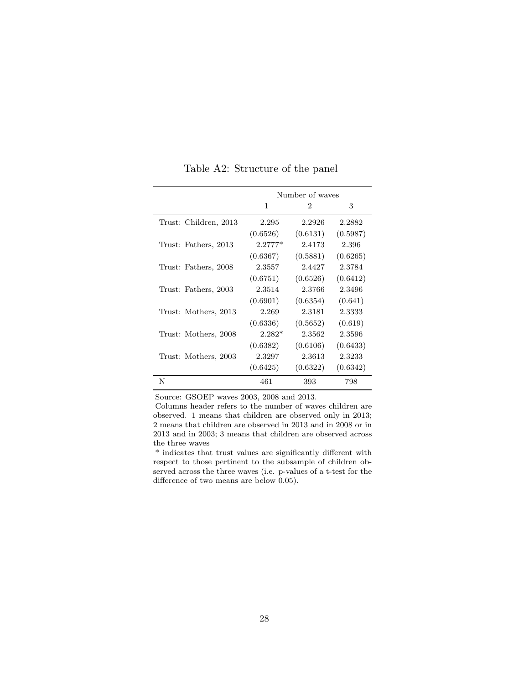|                       |           | Number of waves |          |
|-----------------------|-----------|-----------------|----------|
|                       | 1         | 2               | 3        |
| Trust: Children, 2013 | 2.295     | 2.2926          | 2.2882   |
|                       | (0.6526)  | (0.6131)        | (0.5987) |
| Trust: Fathers, 2013  | $2.2777*$ | 2.4173          | 2.396    |
|                       | (0.6367)  | (0.5881)        | (0.6265) |
| Trust: Fathers, 2008  | 2.3557    | 2.4427          | 2.3784   |
|                       | (0.6751)  | (0.6526)        | (0.6412) |
| Trust: Fathers, 2003  | 2.3514    | 2.3766          | 2.3496   |
|                       | (0.6901)  | (0.6354)        | (0.641)  |
| Trust: Mothers, 2013  | 2.269     | 2.3181          | 2.3333   |
|                       | (0.6336)  | (0.5652)        | (0.619)  |
| Trust: Mothers, 2008  | $2.282*$  | 2.3562          | 2.3596   |
|                       | (0.6382)  | (0.6106)        | (0.6433) |
| Trust: Mothers, 2003  | 2.3297    | 2.3613          | 2.3233   |
|                       | (0.6425)  | (0.6322)        | (0.6342) |
| N                     | 461       | 393             | 798      |

<span id="page-29-0"></span>Table A2: Structure of the panel

Columns header refers to the number of waves children are observed. 1 means that children are observed only in 2013; 2 means that children are observed in 2013 and in 2008 or in 2013 and in 2003; 3 means that children are observed across the three waves

\* indicates that trust values are significantly different with respect to those pertinent to the subsample of children observed across the three waves (i.e. p-values of a t-test for the difference of two means are below 0.05).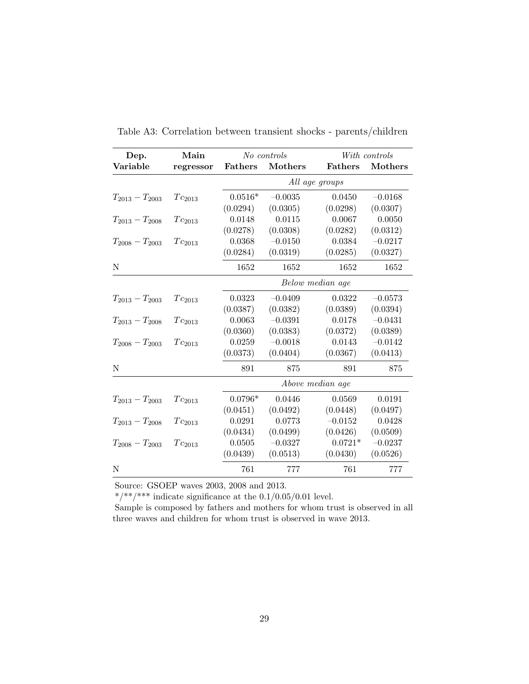| Dep.                | Main        |                | No controls |                  | With controls |  |
|---------------------|-------------|----------------|-------------|------------------|---------------|--|
| Variable            | regressor   | <b>Fathers</b> | Mothers     | <b>Fathers</b>   | Mothers       |  |
|                     |             | All age groups |             |                  |               |  |
| $T_{2013}-T_{2003}$ | $Tc_{2013}$ | $0.0516*$      | $-0.0035$   | 0.0450           | $-0.0168$     |  |
|                     |             | (0.0294)       | (0.0305)    | (0.0298)         | (0.0307)      |  |
| $T_{2013}-T_{2008}$ | $Tc_{2013}$ | 0.0148         | 0.0115      | 0.0067           | 0.0050        |  |
|                     |             | (0.0278)       | (0.0308)    | (0.0282)         | (0.0312)      |  |
| $T_{2008}-T_{2003}$ | $Tc_{2013}$ | 0.0368         | $-0.0150$   | 0.0384           | $-0.0217$     |  |
|                     |             | (0.0284)       | (0.0319)    | (0.0285)         | (0.0327)      |  |
| N                   |             | 1652           | 1652        | 1652             | 1652          |  |
|                     |             |                |             | Below median age |               |  |
| $T_{2013}-T_{2003}$ | $Tc_{2013}$ | 0.0323         | $-0.0409$   | 0.0322           | $-0.0573$     |  |
|                     |             | (0.0387)       | (0.0382)    | (0.0389)         | (0.0394)      |  |
| $T_{2013}-T_{2008}$ | $Tc_{2013}$ | 0.0063         | $-0.0391$   | 0.0178           | $-0.0431$     |  |
|                     |             | (0.0360)       | (0.0383)    | (0.0372)         | (0.0389)      |  |
| $T_{2008}-T_{2003}$ | $Tc_{2013}$ | 0.0259         | $-0.0018$   | 0.0143           | $-0.0142$     |  |
|                     |             | (0.0373)       | (0.0404)    | (0.0367)         | (0.0413)      |  |
| Ν                   |             | 891            | 875         | 891              | 875           |  |
|                     |             |                |             | Above median age |               |  |
| $T_{2013}-T_{2003}$ | $Tc_{2013}$ | $0.0796*$      | 0.0446      | 0.0569           | 0.0191        |  |
|                     |             | (0.0451)       | (0.0492)    | (0.0448)         | (0.0497)      |  |
| $T_{2013}-T_{2008}$ | $Tc_{2013}$ | 0.0291         | 0.0773      | $-0.0152$        | 0.0428        |  |
|                     |             | (0.0434)       | (0.0499)    | (0.0426)         | (0.0509)      |  |
| $T_{2008}-T_{2003}$ | $Tc_{2013}$ | 0.0505         | $-0.0327$   | $0.0721*$        | $-0.0237$     |  |
|                     |             | (0.0439)       | (0.0513)    | (0.0430)         | (0.0526)      |  |
| N                   |             | 761            | 777         | 761              | 777           |  |

Table A3: Correlation between transient shocks - parents/children

\*/\*\*/\*\*\* indicate significance at the  $0.1/0.05/0.01$  level.

Sample is composed by fathers and mothers for whom trust is observed in all three waves and children for whom trust is observed in wave 2013.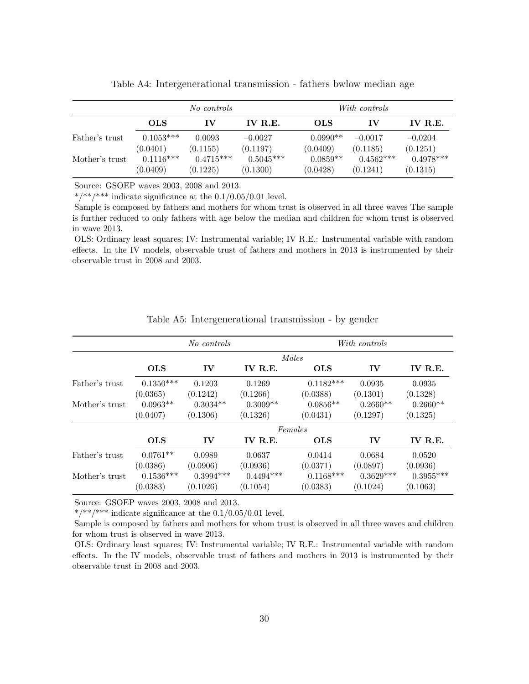<span id="page-31-0"></span>

|                | No controls |             |                | With controls |             |                |
|----------------|-------------|-------------|----------------|---------------|-------------|----------------|
|                | <b>OLS</b>  | IV          | <b>IV R.E.</b> | <b>OLS</b>    | ΙV          | <b>IV R.E.</b> |
| Father's trust | $0.1053***$ | 0.0093      | $-0.0027$      | $0.0990**$    | $-0.0017$   | $-0.0204$      |
|                | (0.0401)    | (0.1155)    | (0.1197)       | (0.0409)      | (0.1185)    | (0.1251)       |
| Mother's trust | $0.1116***$ | $0.4715***$ | $0.5045***$    | $0.0859**$    | $0.4562***$ | $0.4978***$    |
|                | (0.0409)    | (0.1225)    | (0.1300)       | (0.0428)      | (0.1241)    | (0.1315)       |

Table A4: Intergenerational transmission - fathers bwlow median age

\*/\*\*/\*\*\*\* indicate significance at the  $0.1/0.05/0.01$  level.

Sample is composed by fathers and mothers for whom trust is observed in all three waves The sample is further reduced to only fathers with age below the median and children for whom trust is observed in wave 2013.

OLS: Ordinary least squares; IV: Instrumental variable; IV R.E.: Instrumental variable with random effects. In the IV models, observable trust of fathers and mothers in 2013 is instrumented by their observable trust in 2008 and 2003.

<span id="page-31-1"></span>

|                | No controls |               |             | With controls |             |             |  |
|----------------|-------------|---------------|-------------|---------------|-------------|-------------|--|
|                |             |               |             | Males         |             |             |  |
|                | <b>OLS</b>  | $\mathbf{IV}$ | IV R.E.     | <b>OLS</b>    | IV          | IV R.E.     |  |
| Father's trust | $0.1350***$ | 0.1203        | 0.1269      | $0.1182***$   | 0.0935      | 0.0935      |  |
|                | (0.0365)    | (0.1242)      | (0.1266)    | (0.0388)      | (0.1301)    | (0.1328)    |  |
| Mother's trust | $0.0963**$  | $0.3034**$    | $0.3009**$  | $0.0856**$    | $0.2660**$  | $0.2660**$  |  |
|                | (0.0407)    | (0.1306)      | (0.1326)    | (0.0431)      | (0.1297)    | (0.1325)    |  |
|                |             |               |             | Females       |             |             |  |
|                | <b>OLS</b>  | $\mathbf{IV}$ | IV R.E.     | <b>OLS</b>    | IV          | IV R.E.     |  |
| Father's trust | $0.0761**$  | 0.0989        | 0.0637      | 0.0414        | 0.0684      | 0.0520      |  |
|                | (0.0386)    | (0.0906)      | (0.0936)    | (0.0371)      | (0.0897)    | (0.0936)    |  |
| Mother's trust | $0.1536***$ | $0.3994***$   | $0.4494***$ | $0.1168***$   | $0.3629***$ | $0.3955***$ |  |
|                | (0.0383)    | (0.1026)      | (0.1054)    | (0.0383)      | (0.1024)    | (0.1063)    |  |

Table A5: Intergenerational transmission - by gender

Source: GSOEP waves 2003, 2008 and 2013.

\*/\*\*/\*\*\* indicate significance at the  $0.1/0.05/0.01$  level.

Sample is composed by fathers and mothers for whom trust is observed in all three waves and children for whom trust is observed in wave 2013.

OLS: Ordinary least squares; IV: Instrumental variable; IV R.E.: Instrumental variable with random effects. In the IV models, observable trust of fathers and mothers in 2013 is instrumented by their observable trust in 2008 and 2003.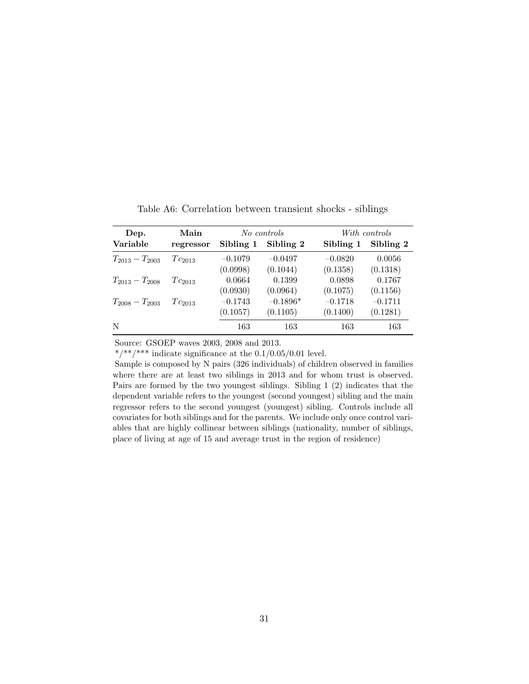<span id="page-32-0"></span>

| Main<br>Dep.        |             |           | No controls | With controls |           |  |
|---------------------|-------------|-----------|-------------|---------------|-----------|--|
| Variable            | regressor   | Sibling 1 | Sibling 2   | Sibling 1     | Sibling 2 |  |
| $T_{2013}-T_{2003}$ | $Tc_{2013}$ | $-0.1079$ | $-0.0497$   | $-0.0820$     | 0.0056    |  |
|                     |             | (0.0998)  | (0.1044)    | (0.1358)      | (0.1318)  |  |
| $T_{2013}-T_{2008}$ | $Tc_{2013}$ | 0.0664    | 0.1399      | 0.0898        | 0.1767    |  |
|                     |             | (0.0930)  | (0.0964)    | (0.1075)      | (0.1156)  |  |
| $T_{2008}-T_{2003}$ | $Tc_{2013}$ | $-0.1743$ | $-0.1896*$  | $-0.1718$     | $-0.1711$ |  |
|                     |             | (0.1057)  | (0.1105)    | (0.1400)      | (0.1281)  |  |
| N                   |             | 163       | 163         | 163           | 163       |  |

Table A6: Correlation between transient shocks - siblings

\*/\*\*/\*\*\* indicate significance at the  $0.1/0.05/0.01$  level.

Sample is composed by N pairs (326 individuals) of children observed in families where there are at least two siblings in 2013 and for whom trust is observed. Pairs are formed by the two youngest siblings. Sibling 1 (2) indicates that the dependent variable refers to the youngest (second youngest) sibling and the main regressor refers to the second youngest (youngest) sibling. Controls include all covariates for both siblings and for the parents. We include only once control variables that are highly collinear between siblings (nationality, number of siblings, place of living at age of 15 and average trust in the region of residence)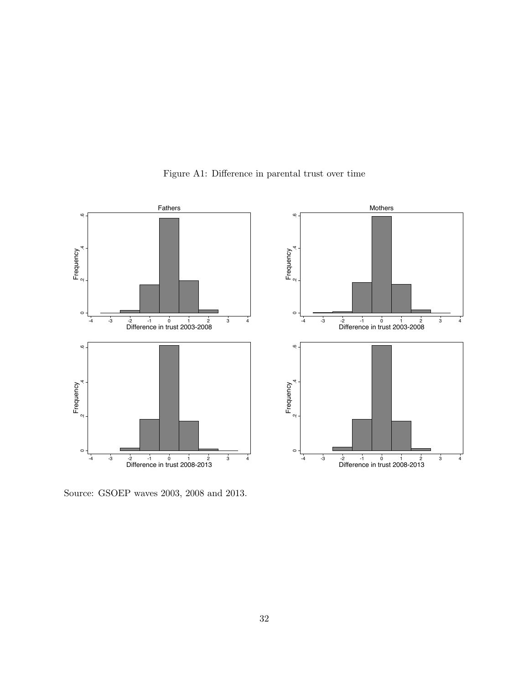<span id="page-33-0"></span>

Figure A1: Difference in parental trust over time

Source: GSOEP waves 2003, 2008 and 2013.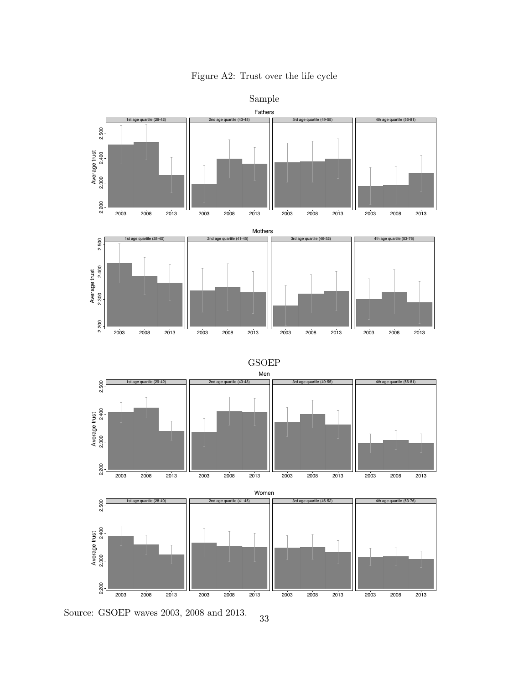

Figure A2: Trust over the life cycle

Source: GSOEP waves 2003, 2008 and 2013. 33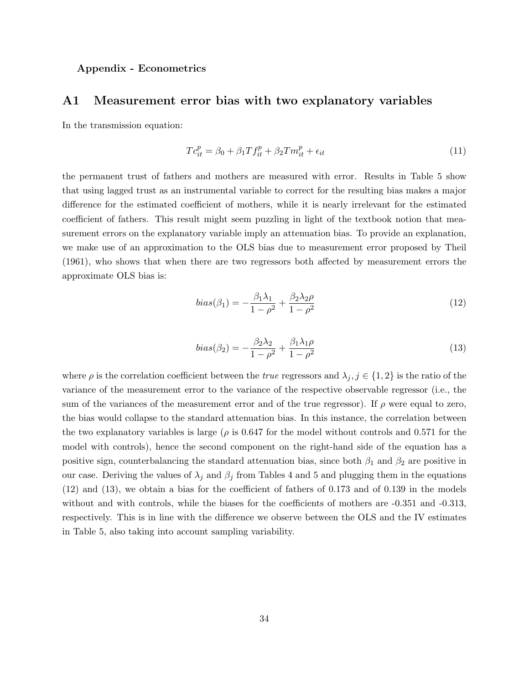#### Appendix - Econometrics

### A1 Measurement error bias with two explanatory variables

In the transmission equation:

$$
T c_{it}^p = \beta_0 + \beta_1 T f_{it}^p + \beta_2 T m_{it}^p + \epsilon_{it}
$$
\n
$$
\tag{11}
$$

the permanent trust of fathers and mothers are measured with error. Results in Table [5](#page-23-0) show that using lagged trust as an instrumental variable to correct for the resulting bias makes a major difference for the estimated coefficient of mothers, while it is nearly irrelevant for the estimated coefficient of fathers. This result might seem puzzling in light of the textbook notion that measurement errors on the explanatory variable imply an attenuation bias. To provide an explanation, we make use of an approximation to the OLS bias due to measurement error proposed by [Theil](#page-27-11) [\(1961\)](#page-27-11), who shows that when there are two regressors both affected by measurement errors the approximate OLS bias is:

<span id="page-35-0"></span>
$$
bias(\beta_1) = -\frac{\beta_1 \lambda_1}{1 - \rho^2} + \frac{\beta_2 \lambda_2 \rho}{1 - \rho^2}
$$
\n(12)

<span id="page-35-1"></span>
$$
bias(\beta_2) = -\frac{\beta_2 \lambda_2}{1 - \rho^2} + \frac{\beta_1 \lambda_1 \rho}{1 - \rho^2}
$$
\n(13)

where  $\rho$  is the correlation coefficient between the *true* regressors and  $\lambda_j$ ,  $j \in \{1,2\}$  is the ratio of the variance of the measurement error to the variance of the respective observable regressor (i.e., the sum of the variances of the measurement error and of the true regressor). If  $\rho$  were equal to zero, the bias would collapse to the standard attenuation bias. In this instance, the correlation between the two explanatory variables is large ( $\rho$  is 0.647 for the model without controls and 0.571 for the model with controls), hence the second component on the right-hand side of the equation has a positive sign, counterbalancing the standard attenuation bias, since both  $\beta_1$  and  $\beta_2$  are positive in our case. Deriving the values of  $\lambda_j$  and  $\beta_j$  from Tables [4](#page-22-0) and [5](#page-23-0) and plugging them in the equations [\(12\)](#page-35-0) and [\(13\)](#page-35-1), we obtain a bias for the coefficient of fathers of 0.173 and of 0.139 in the models without and with controls, while the biases for the coefficients of mothers are  $-0.351$  and  $-0.313$ , respectively. This is in line with the difference we observe between the OLS and the IV estimates in Table [5,](#page-23-0) also taking into account sampling variability.